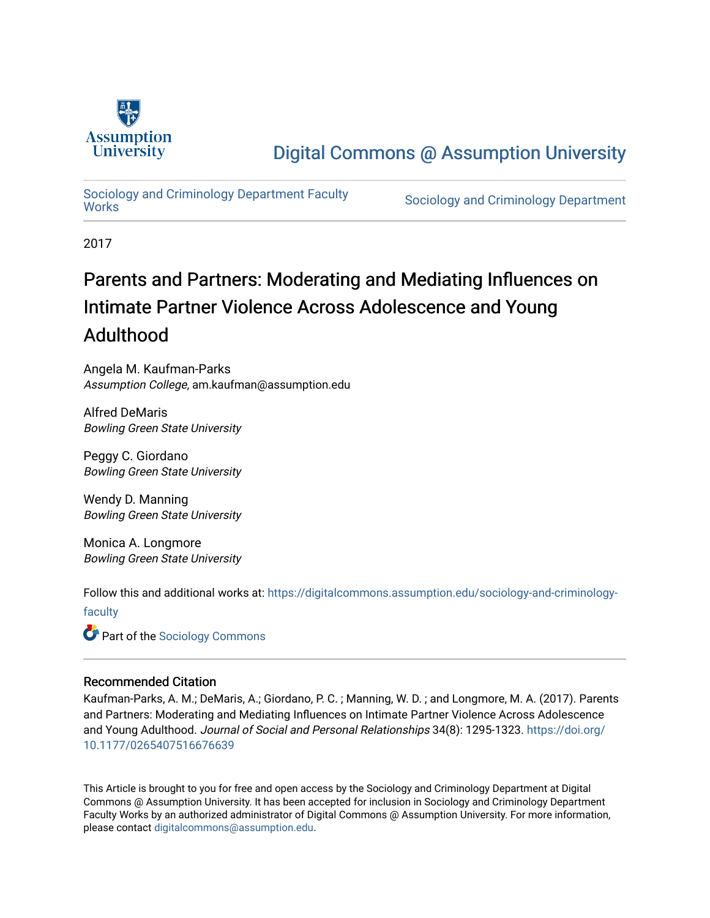

## [Digital Commons @ Assumption University](https://digitalcommons.assumption.edu/)

# Sociology and Criminology Department Faculty<br>Works

Sociology and Criminology Department

2017

## Parents and Partners: Moderating and Mediating Influences on Intimate Partner Violence Across Adolescence and Young Adulthood

Angela M. Kaufman-Parks Assumption College, am.kaufman@assumption.edu

Alfred DeMaris Bowling Green State University

Peggy C. Giordano Bowling Green State University

Wendy D. Manning Bowling Green State University

Monica A. Longmore Bowling Green State University

Follow this and additional works at: [https://digitalcommons.assumption.edu/sociology-and-criminology-](https://digitalcommons.assumption.edu/sociology-and-criminology-faculty?utm_source=digitalcommons.assumption.edu%2Fsociology-and-criminology-faculty%2F11&utm_medium=PDF&utm_campaign=PDFCoverPages)

[faculty](https://digitalcommons.assumption.edu/sociology-and-criminology-faculty?utm_source=digitalcommons.assumption.edu%2Fsociology-and-criminology-faculty%2F11&utm_medium=PDF&utm_campaign=PDFCoverPages)

**C** Part of the [Sociology Commons](http://network.bepress.com/hgg/discipline/416?utm_source=digitalcommons.assumption.edu%2Fsociology-and-criminology-faculty%2F11&utm_medium=PDF&utm_campaign=PDFCoverPages)

## Recommended Citation

Kaufman-Parks, A. M.; DeMaris, A.; Giordano, P. C. ; Manning, W. D. ; and Longmore, M. A. (2017). Parents and Partners: Moderating and Mediating Influences on Intimate Partner Violence Across Adolescence and Young Adulthood. Journal of Social and Personal Relationships 34(8): 1295-1323. [https://doi.org/](https://doi.org/10.1177/0265407516676639) [10.1177/0265407516676639](https://doi.org/10.1177/0265407516676639)

This Article is brought to you for free and open access by the Sociology and Criminology Department at Digital Commons @ Assumption University. It has been accepted for inclusion in Sociology and Criminology Department Faculty Works by an authorized administrator of Digital Commons @ Assumption University. For more information, please contact [digitalcommons@assumption.edu](mailto:digitalcommons@assumption.edu).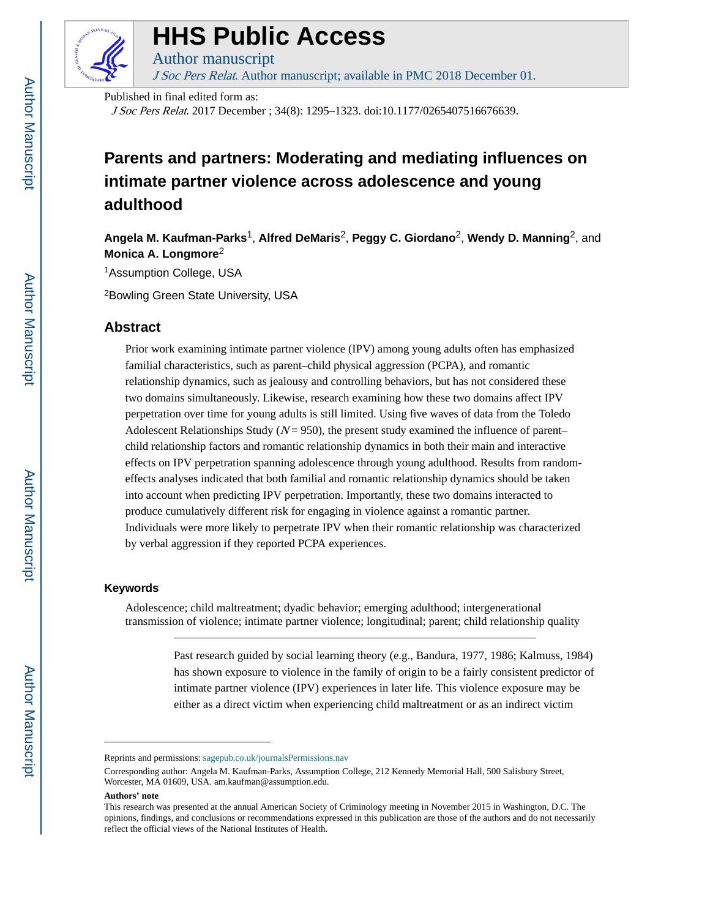

## **HHS Public Access**

Author manuscript J Soc Pers Relat. Author manuscript; available in PMC 2018 December 01.

Published in final edited form as:

J Soc Pers Relat. 2017 December ; 34(8): 1295–1323. doi:10.1177/0265407516676639.

## **Parents and partners: Moderating and mediating influences on intimate partner violence across adolescence and young adulthood**

**Angela M. Kaufman-Parks**1, **Alfred DeMaris**2, **Peggy C. Giordano**2, **Wendy D. Manning**2, and **Monica A. Longmore**<sup>2</sup>

<sup>1</sup>Assumption College, USA

<sup>2</sup>Bowling Green State University, USA

## **Abstract**

Prior work examining intimate partner violence (IPV) among young adults often has emphasized familial characteristics, such as parent–child physical aggression (PCPA), and romantic relationship dynamics, such as jealousy and controlling behaviors, but has not considered these two domains simultaneously. Likewise, research examining how these two domains affect IPV perpetration over time for young adults is still limited. Using five waves of data from the Toledo Adolescent Relationships Study ( $N = 950$ ), the present study examined the influence of parent– child relationship factors and romantic relationship dynamics in both their main and interactive effects on IPV perpetration spanning adolescence through young adulthood. Results from randomeffects analyses indicated that both familial and romantic relationship dynamics should be taken into account when predicting IPV perpetration. Importantly, these two domains interacted to produce cumulatively different risk for engaging in violence against a romantic partner. Individuals were more likely to perpetrate IPV when their romantic relationship was characterized by verbal aggression if they reported PCPA experiences.

#### **Keywords**

Adolescence; child maltreatment; dyadic behavior; emerging adulthood; intergenerational transmission of violence; intimate partner violence; longitudinal; parent; child relationship quality

> Past research guided by social learning theory (e.g., Bandura, 1977, 1986; Kalmuss, 1984) has shown exposure to violence in the family of origin to be a fairly consistent predictor of intimate partner violence (IPV) experiences in later life. This violence exposure may be either as a direct victim when experiencing child maltreatment or as an indirect victim

#### **Authors' note**

Reprints and permissions: sagepub.co.uk/journalsPermissions.nav

Corresponding author: Angela M. Kaufman-Parks, Assumption College, 212 Kennedy Memorial Hall, 500 Salisbury Street, Worcester, MA 01609, USA. am.kaufman@assumption.edu.

This research was presented at the annual American Society of Criminology meeting in November 2015 in Washington, D.C. The opinions, findings, and conclusions or recommendations expressed in this publication are those of the authors and do not necessarily reflect the official views of the National Institutes of Health.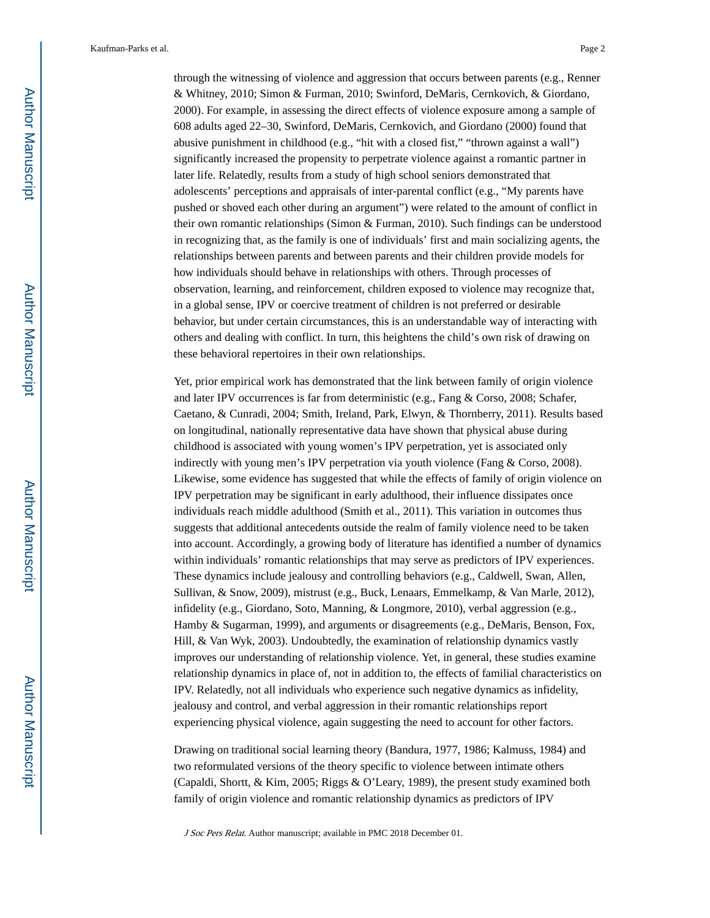through the witnessing of violence and aggression that occurs between parents (e.g., Renner & Whitney, 2010; Simon & Furman, 2010; Swinford, DeMaris, Cernkovich, & Giordano, 2000). For example, in assessing the direct effects of violence exposure among a sample of 608 adults aged 22–30, Swinford, DeMaris, Cernkovich, and Giordano (2000) found that abusive punishment in childhood (e.g., "hit with a closed fist," "thrown against a wall") significantly increased the propensity to perpetrate violence against a romantic partner in later life. Relatedly, results from a study of high school seniors demonstrated that adolescents' perceptions and appraisals of inter-parental conflict (e.g., "My parents have pushed or shoved each other during an argument") were related to the amount of conflict in their own romantic relationships (Simon & Furman, 2010). Such findings can be understood in recognizing that, as the family is one of individuals' first and main socializing agents, the relationships between parents and between parents and their children provide models for how individuals should behave in relationships with others. Through processes of observation, learning, and reinforcement, children exposed to violence may recognize that, in a global sense, IPV or coercive treatment of children is not preferred or desirable behavior, but under certain circumstances, this is an understandable way of interacting with others and dealing with conflict. In turn, this heightens the child's own risk of drawing on these behavioral repertoires in their own relationships.

Yet, prior empirical work has demonstrated that the link between family of origin violence and later IPV occurrences is far from deterministic (e.g., Fang & Corso, 2008; Schafer, Caetano, & Cunradi, 2004; Smith, Ireland, Park, Elwyn, & Thornberry, 2011). Results based on longitudinal, nationally representative data have shown that physical abuse during childhood is associated with young women's IPV perpetration, yet is associated only indirectly with young men's IPV perpetration via youth violence (Fang & Corso, 2008). Likewise, some evidence has suggested that while the effects of family of origin violence on IPV perpetration may be significant in early adulthood, their influence dissipates once individuals reach middle adulthood (Smith et al., 2011). This variation in outcomes thus suggests that additional antecedents outside the realm of family violence need to be taken into account. Accordingly, a growing body of literature has identified a number of dynamics within individuals' romantic relationships that may serve as predictors of IPV experiences. These dynamics include jealousy and controlling behaviors (e.g., Caldwell, Swan, Allen, Sullivan, & Snow, 2009), mistrust (e.g., Buck, Lenaars, Emmelkamp, & Van Marle, 2012), infidelity (e.g., Giordano, Soto, Manning, & Longmore, 2010), verbal aggression (e.g., Hamby & Sugarman, 1999), and arguments or disagreements (e.g., DeMaris, Benson, Fox, Hill, & Van Wyk, 2003). Undoubtedly, the examination of relationship dynamics vastly improves our understanding of relationship violence. Yet, in general, these studies examine relationship dynamics in place of, not in addition to, the effects of familial characteristics on IPV. Relatedly, not all individuals who experience such negative dynamics as infidelity, jealousy and control, and verbal aggression in their romantic relationships report experiencing physical violence, again suggesting the need to account for other factors.

Drawing on traditional social learning theory (Bandura, 1977, 1986; Kalmuss, 1984) and two reformulated versions of the theory specific to violence between intimate others (Capaldi, Shortt, & Kim, 2005; Riggs & O'Leary, 1989), the present study examined both family of origin violence and romantic relationship dynamics as predictors of IPV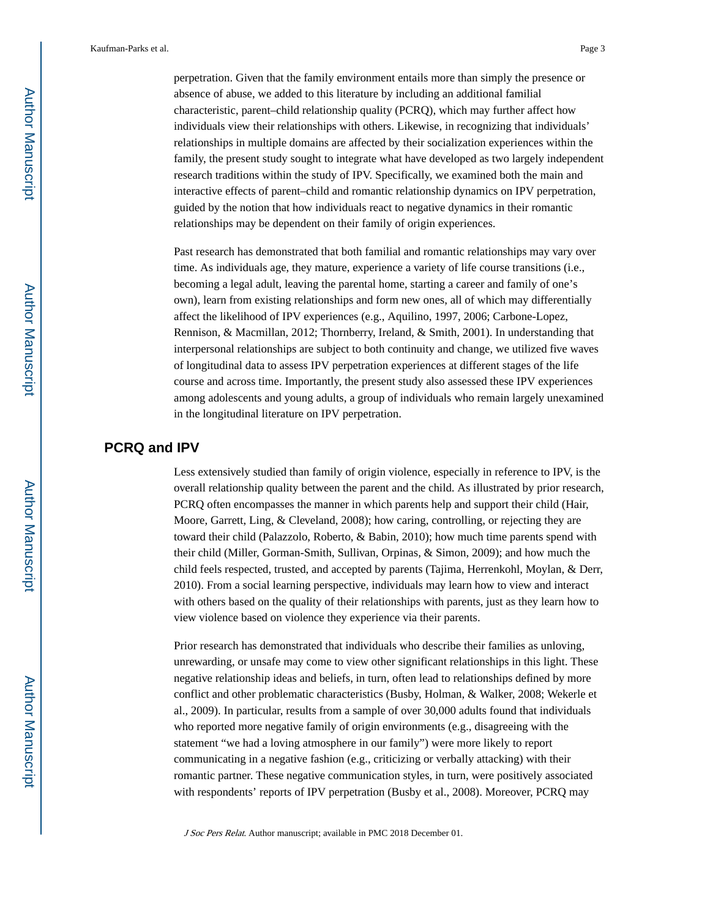perpetration. Given that the family environment entails more than simply the presence or absence of abuse, we added to this literature by including an additional familial characteristic, parent–child relationship quality (PCRQ), which may further affect how individuals view their relationships with others. Likewise, in recognizing that individuals' relationships in multiple domains are affected by their socialization experiences within the family, the present study sought to integrate what have developed as two largely independent research traditions within the study of IPV. Specifically, we examined both the main and interactive effects of parent–child and romantic relationship dynamics on IPV perpetration, guided by the notion that how individuals react to negative dynamics in their romantic relationships may be dependent on their family of origin experiences.

Past research has demonstrated that both familial and romantic relationships may vary over time. As individuals age, they mature, experience a variety of life course transitions (i.e., becoming a legal adult, leaving the parental home, starting a career and family of one's own), learn from existing relationships and form new ones, all of which may differentially affect the likelihood of IPV experiences (e.g., Aquilino, 1997, 2006; Carbone-Lopez, Rennison, & Macmillan, 2012; Thornberry, Ireland, & Smith, 2001). In understanding that interpersonal relationships are subject to both continuity and change, we utilized five waves of longitudinal data to assess IPV perpetration experiences at different stages of the life course and across time. Importantly, the present study also assessed these IPV experiences among adolescents and young adults, a group of individuals who remain largely unexamined in the longitudinal literature on IPV perpetration.

## **PCRQ and IPV**

Less extensively studied than family of origin violence, especially in reference to IPV, is the overall relationship quality between the parent and the child. As illustrated by prior research, PCRQ often encompasses the manner in which parents help and support their child (Hair, Moore, Garrett, Ling, & Cleveland, 2008); how caring, controlling, or rejecting they are toward their child (Palazzolo, Roberto, & Babin, 2010); how much time parents spend with their child (Miller, Gorman-Smith, Sullivan, Orpinas, & Simon, 2009); and how much the child feels respected, trusted, and accepted by parents (Tajima, Herrenkohl, Moylan, & Derr, 2010). From a social learning perspective, individuals may learn how to view and interact with others based on the quality of their relationships with parents, just as they learn how to view violence based on violence they experience via their parents.

Prior research has demonstrated that individuals who describe their families as unloving, unrewarding, or unsafe may come to view other significant relationships in this light. These negative relationship ideas and beliefs, in turn, often lead to relationships defined by more conflict and other problematic characteristics (Busby, Holman, & Walker, 2008; Wekerle et al., 2009). In particular, results from a sample of over 30,000 adults found that individuals who reported more negative family of origin environments (e.g., disagreeing with the statement "we had a loving atmosphere in our family") were more likely to report communicating in a negative fashion (e.g., criticizing or verbally attacking) with their romantic partner. These negative communication styles, in turn, were positively associated with respondents' reports of IPV perpetration (Busby et al., 2008). Moreover, PCRQ may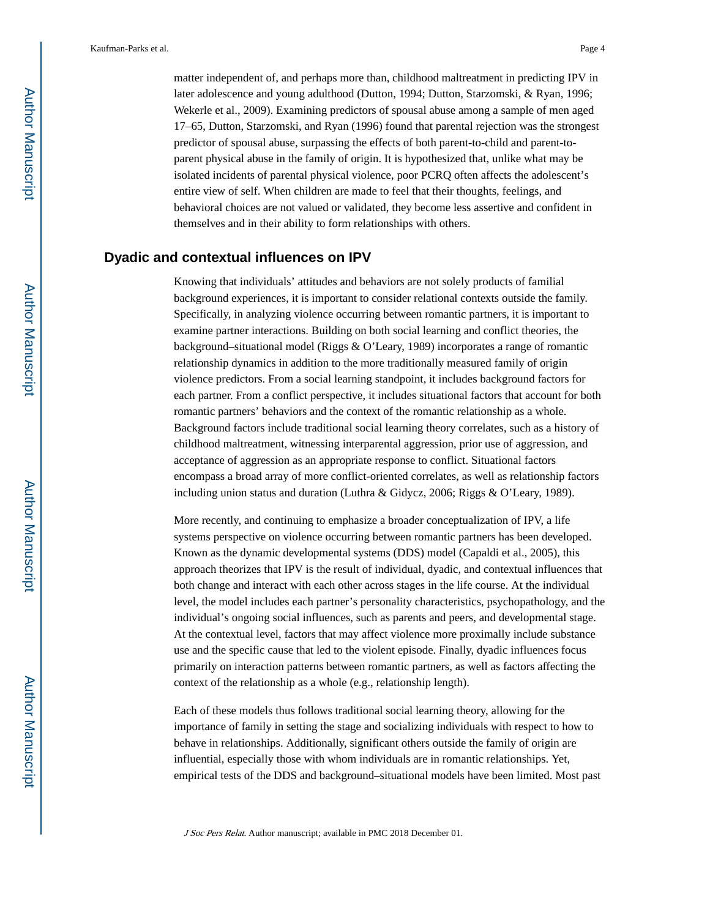matter independent of, and perhaps more than, childhood maltreatment in predicting IPV in later adolescence and young adulthood (Dutton, 1994; Dutton, Starzomski, & Ryan, 1996; Wekerle et al., 2009). Examining predictors of spousal abuse among a sample of men aged 17–65, Dutton, Starzomski, and Ryan (1996) found that parental rejection was the strongest predictor of spousal abuse, surpassing the effects of both parent-to-child and parent-toparent physical abuse in the family of origin. It is hypothesized that, unlike what may be isolated incidents of parental physical violence, poor PCRQ often affects the adolescent's entire view of self. When children are made to feel that their thoughts, feelings, and behavioral choices are not valued or validated, they become less assertive and confident in themselves and in their ability to form relationships with others.

## **Dyadic and contextual influences on IPV**

Knowing that individuals' attitudes and behaviors are not solely products of familial background experiences, it is important to consider relational contexts outside the family. Specifically, in analyzing violence occurring between romantic partners, it is important to examine partner interactions. Building on both social learning and conflict theories, the background–situational model (Riggs & O'Leary, 1989) incorporates a range of romantic relationship dynamics in addition to the more traditionally measured family of origin violence predictors. From a social learning standpoint, it includes background factors for each partner. From a conflict perspective, it includes situational factors that account for both romantic partners' behaviors and the context of the romantic relationship as a whole. Background factors include traditional social learning theory correlates, such as a history of childhood maltreatment, witnessing interparental aggression, prior use of aggression, and acceptance of aggression as an appropriate response to conflict. Situational factors encompass a broad array of more conflict-oriented correlates, as well as relationship factors including union status and duration (Luthra & Gidycz, 2006; Riggs & O'Leary, 1989).

More recently, and continuing to emphasize a broader conceptualization of IPV, a life systems perspective on violence occurring between romantic partners has been developed. Known as the dynamic developmental systems (DDS) model (Capaldi et al., 2005), this approach theorizes that IPV is the result of individual, dyadic, and contextual influences that both change and interact with each other across stages in the life course. At the individual level, the model includes each partner's personality characteristics, psychopathology, and the individual's ongoing social influences, such as parents and peers, and developmental stage. At the contextual level, factors that may affect violence more proximally include substance use and the specific cause that led to the violent episode. Finally, dyadic influences focus primarily on interaction patterns between romantic partners, as well as factors affecting the context of the relationship as a whole (e.g., relationship length).

Each of these models thus follows traditional social learning theory, allowing for the importance of family in setting the stage and socializing individuals with respect to how to behave in relationships. Additionally, significant others outside the family of origin are influential, especially those with whom individuals are in romantic relationships. Yet, empirical tests of the DDS and background–situational models have been limited. Most past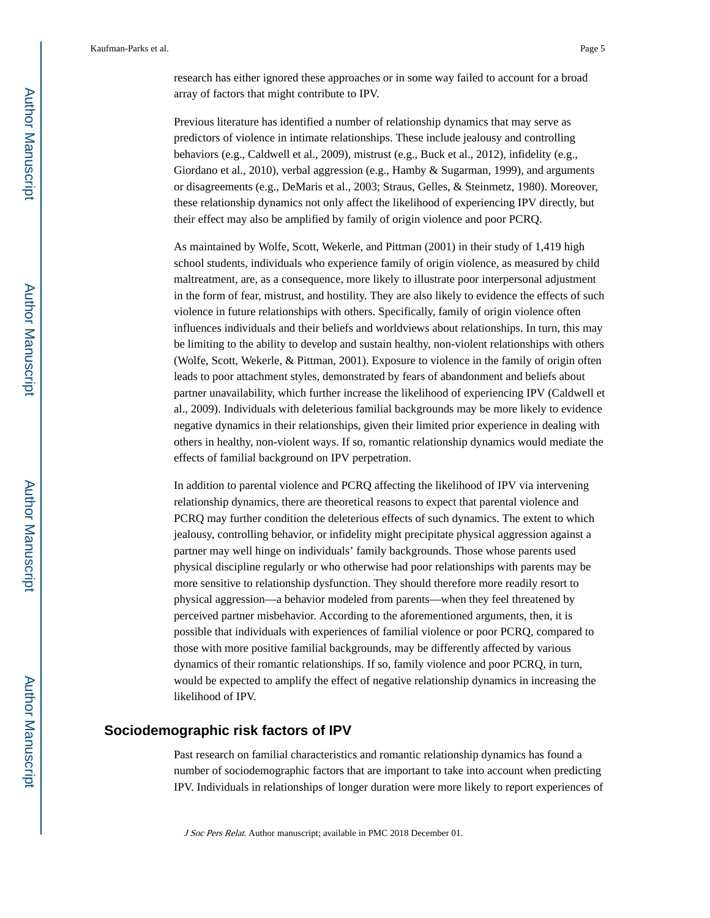research has either ignored these approaches or in some way failed to account for a broad array of factors that might contribute to IPV.

Previous literature has identified a number of relationship dynamics that may serve as predictors of violence in intimate relationships. These include jealousy and controlling behaviors (e.g., Caldwell et al., 2009), mistrust (e.g., Buck et al., 2012), infidelity (e.g., Giordano et al., 2010), verbal aggression (e.g., Hamby & Sugarman, 1999), and arguments or disagreements (e.g., DeMaris et al., 2003; Straus, Gelles, & Steinmetz, 1980). Moreover, these relationship dynamics not only affect the likelihood of experiencing IPV directly, but their effect may also be amplified by family of origin violence and poor PCRQ.

As maintained by Wolfe, Scott, Wekerle, and Pittman (2001) in their study of 1,419 high school students, individuals who experience family of origin violence, as measured by child maltreatment, are, as a consequence, more likely to illustrate poor interpersonal adjustment in the form of fear, mistrust, and hostility. They are also likely to evidence the effects of such violence in future relationships with others. Specifically, family of origin violence often influences individuals and their beliefs and worldviews about relationships. In turn, this may be limiting to the ability to develop and sustain healthy, non-violent relationships with others (Wolfe, Scott, Wekerle, & Pittman, 2001). Exposure to violence in the family of origin often leads to poor attachment styles, demonstrated by fears of abandonment and beliefs about partner unavailability, which further increase the likelihood of experiencing IPV (Caldwell et al., 2009). Individuals with deleterious familial backgrounds may be more likely to evidence negative dynamics in their relationships, given their limited prior experience in dealing with others in healthy, non-violent ways. If so, romantic relationship dynamics would mediate the effects of familial background on IPV perpetration.

In addition to parental violence and PCRQ affecting the likelihood of IPV via intervening relationship dynamics, there are theoretical reasons to expect that parental violence and PCRQ may further condition the deleterious effects of such dynamics. The extent to which jealousy, controlling behavior, or infidelity might precipitate physical aggression against a partner may well hinge on individuals' family backgrounds. Those whose parents used physical discipline regularly or who otherwise had poor relationships with parents may be more sensitive to relationship dysfunction. They should therefore more readily resort to physical aggression—a behavior modeled from parents—when they feel threatened by perceived partner misbehavior. According to the aforementioned arguments, then, it is possible that individuals with experiences of familial violence or poor PCRQ, compared to those with more positive familial backgrounds, may be differently affected by various dynamics of their romantic relationships. If so, family violence and poor PCRQ, in turn, would be expected to amplify the effect of negative relationship dynamics in increasing the likelihood of IPV.

### **Sociodemographic risk factors of IPV**

Past research on familial characteristics and romantic relationship dynamics has found a number of sociodemographic factors that are important to take into account when predicting IPV. Individuals in relationships of longer duration were more likely to report experiences of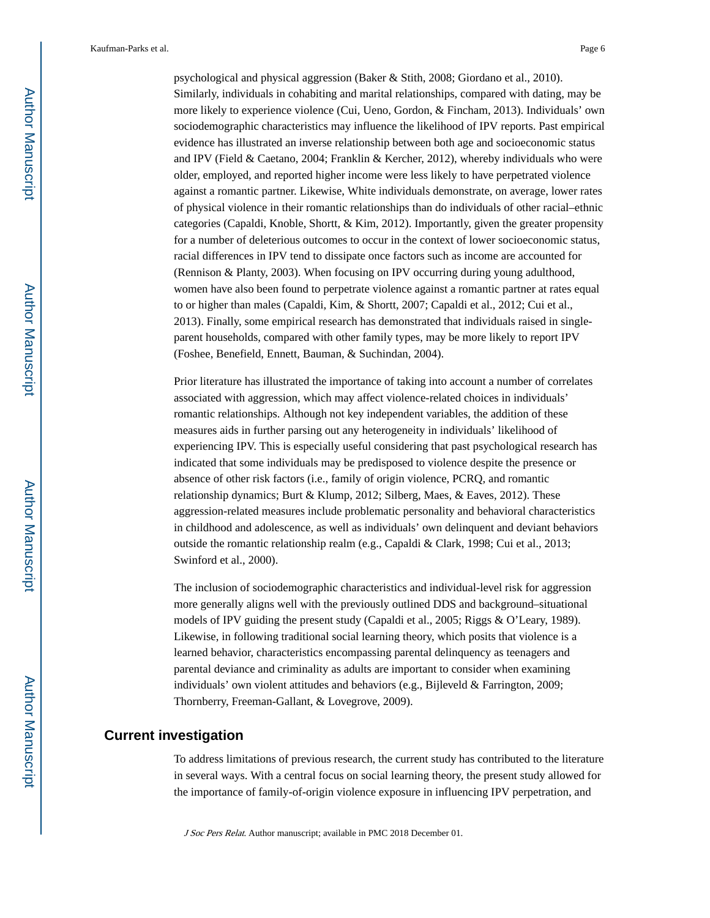psychological and physical aggression (Baker & Stith, 2008; Giordano et al., 2010). Similarly, individuals in cohabiting and marital relationships, compared with dating, may be more likely to experience violence (Cui, Ueno, Gordon, & Fincham, 2013). Individuals' own sociodemographic characteristics may influence the likelihood of IPV reports. Past empirical evidence has illustrated an inverse relationship between both age and socioeconomic status and IPV (Field & Caetano, 2004; Franklin & Kercher, 2012), whereby individuals who were older, employed, and reported higher income were less likely to have perpetrated violence against a romantic partner. Likewise, White individuals demonstrate, on average, lower rates of physical violence in their romantic relationships than do individuals of other racial–ethnic categories (Capaldi, Knoble, Shortt, & Kim, 2012). Importantly, given the greater propensity for a number of deleterious outcomes to occur in the context of lower socioeconomic status, racial differences in IPV tend to dissipate once factors such as income are accounted for (Rennison & Planty, 2003). When focusing on IPV occurring during young adulthood, women have also been found to perpetrate violence against a romantic partner at rates equal to or higher than males (Capaldi, Kim, & Shortt, 2007; Capaldi et al., 2012; Cui et al., 2013). Finally, some empirical research has demonstrated that individuals raised in singleparent households, compared with other family types, may be more likely to report IPV (Foshee, Benefield, Ennett, Bauman, & Suchindan, 2004).

Prior literature has illustrated the importance of taking into account a number of correlates associated with aggression, which may affect violence-related choices in individuals' romantic relationships. Although not key independent variables, the addition of these measures aids in further parsing out any heterogeneity in individuals' likelihood of experiencing IPV. This is especially useful considering that past psychological research has indicated that some individuals may be predisposed to violence despite the presence or absence of other risk factors (i.e., family of origin violence, PCRQ, and romantic relationship dynamics; Burt & Klump, 2012; Silberg, Maes, & Eaves, 2012). These aggression-related measures include problematic personality and behavioral characteristics in childhood and adolescence, as well as individuals' own delinquent and deviant behaviors outside the romantic relationship realm (e.g., Capaldi & Clark, 1998; Cui et al., 2013; Swinford et al., 2000).

The inclusion of sociodemographic characteristics and individual-level risk for aggression more generally aligns well with the previously outlined DDS and background–situational models of IPV guiding the present study (Capaldi et al., 2005; Riggs & O'Leary, 1989). Likewise, in following traditional social learning theory, which posits that violence is a learned behavior, characteristics encompassing parental delinquency as teenagers and parental deviance and criminality as adults are important to consider when examining individuals' own violent attitudes and behaviors (e.g., Bijleveld & Farrington, 2009; Thornberry, Freeman-Gallant, & Lovegrove, 2009).

### **Current investigation**

To address limitations of previous research, the current study has contributed to the literature in several ways. With a central focus on social learning theory, the present study allowed for the importance of family-of-origin violence exposure in influencing IPV perpetration, and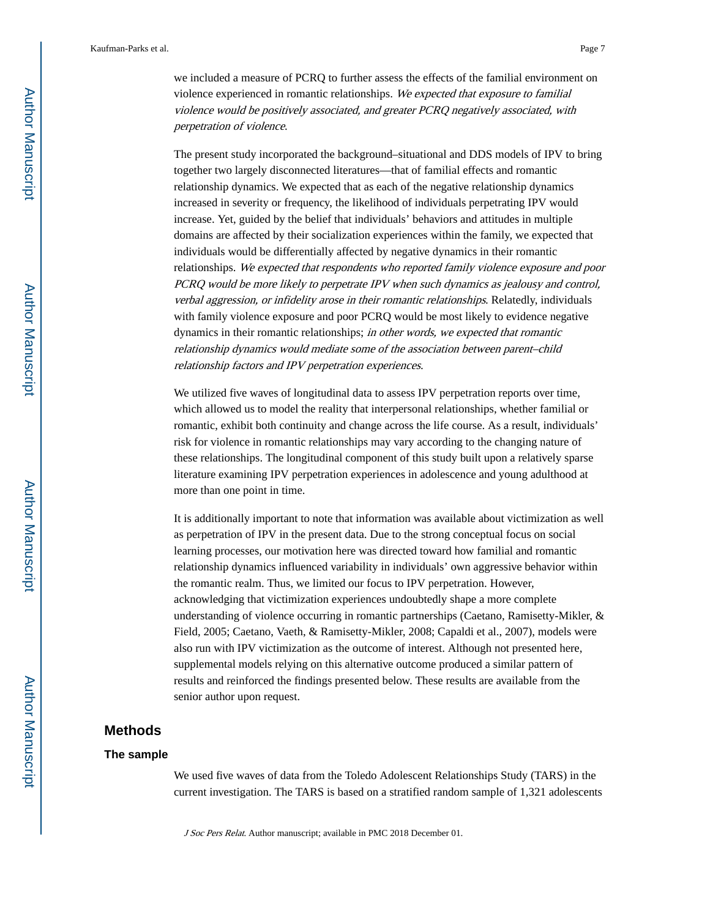we included a measure of PCRQ to further assess the effects of the familial environment on violence experienced in romantic relationships. We expected that exposure to familial violence would be positively associated, and greater PCRQ negatively associated, with perpetration of violence.

The present study incorporated the background–situational and DDS models of IPV to bring together two largely disconnected literatures—that of familial effects and romantic relationship dynamics. We expected that as each of the negative relationship dynamics increased in severity or frequency, the likelihood of individuals perpetrating IPV would increase. Yet, guided by the belief that individuals' behaviors and attitudes in multiple domains are affected by their socialization experiences within the family, we expected that individuals would be differentially affected by negative dynamics in their romantic relationships. We expected that respondents who reported family violence exposure and poor PCRQ would be more likely to perpetrate IPV when such dynamics as jealousy and control, verbal aggression, or infidelity arose in their romantic relationships. Relatedly, individuals with family violence exposure and poor PCRQ would be most likely to evidence negative dynamics in their romantic relationships; in other words, we expected that romantic relationship dynamics would mediate some of the association between parent–child relationship factors and IPV perpetration experiences.

We utilized five waves of longitudinal data to assess IPV perpetration reports over time, which allowed us to model the reality that interpersonal relationships, whether familial or romantic, exhibit both continuity and change across the life course. As a result, individuals' risk for violence in romantic relationships may vary according to the changing nature of these relationships. The longitudinal component of this study built upon a relatively sparse literature examining IPV perpetration experiences in adolescence and young adulthood at more than one point in time.

It is additionally important to note that information was available about victimization as well as perpetration of IPV in the present data. Due to the strong conceptual focus on social learning processes, our motivation here was directed toward how familial and romantic relationship dynamics influenced variability in individuals' own aggressive behavior within the romantic realm. Thus, we limited our focus to IPV perpetration. However, acknowledging that victimization experiences undoubtedly shape a more complete understanding of violence occurring in romantic partnerships (Caetano, Ramisetty-Mikler, & Field, 2005; Caetano, Vaeth, & Ramisetty-Mikler, 2008; Capaldi et al., 2007), models were also run with IPV victimization as the outcome of interest. Although not presented here, supplemental models relying on this alternative outcome produced a similar pattern of results and reinforced the findings presented below. These results are available from the senior author upon request.

### **Methods**

#### **The sample**

We used five waves of data from the Toledo Adolescent Relationships Study (TARS) in the current investigation. The TARS is based on a stratified random sample of 1,321 adolescents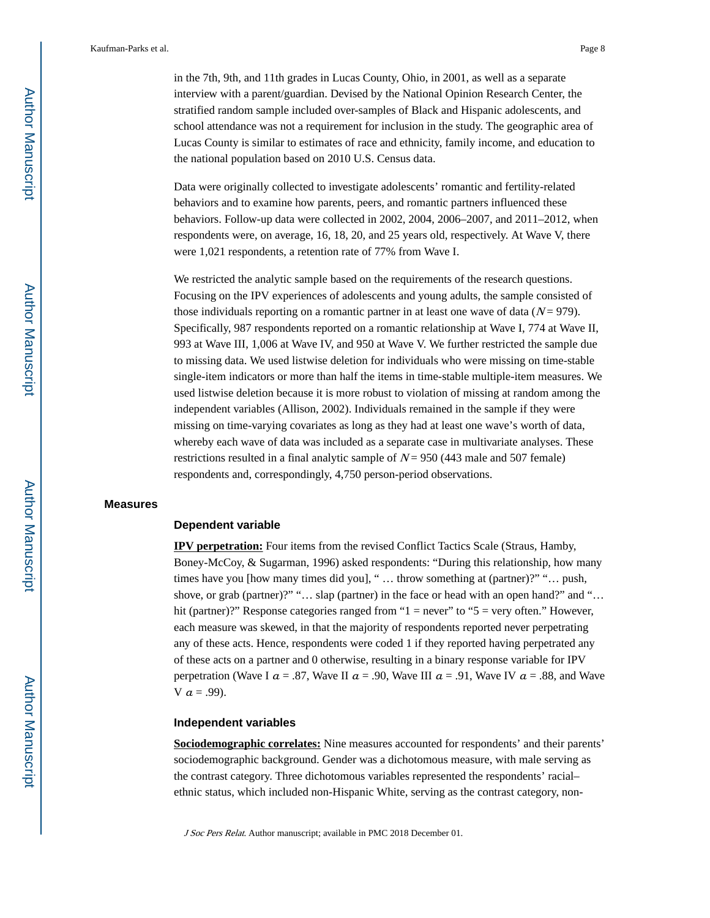in the 7th, 9th, and 11th grades in Lucas County, Ohio, in 2001, as well as a separate interview with a parent/guardian. Devised by the National Opinion Research Center, the stratified random sample included over-samples of Black and Hispanic adolescents, and school attendance was not a requirement for inclusion in the study. The geographic area of Lucas County is similar to estimates of race and ethnicity, family income, and education to the national population based on 2010 U.S. Census data.

Data were originally collected to investigate adolescents' romantic and fertility-related behaviors and to examine how parents, peers, and romantic partners influenced these behaviors. Follow-up data were collected in 2002, 2004, 2006–2007, and 2011–2012, when respondents were, on average, 16, 18, 20, and 25 years old, respectively. At Wave V, there were 1,021 respondents, a retention rate of 77% from Wave I.

We restricted the analytic sample based on the requirements of the research questions. Focusing on the IPV experiences of adolescents and young adults, the sample consisted of those individuals reporting on a romantic partner in at least one wave of data  $(N = 979)$ . Specifically, 987 respondents reported on a romantic relationship at Wave I, 774 at Wave II, 993 at Wave III, 1,006 at Wave IV, and 950 at Wave V. We further restricted the sample due to missing data. We used listwise deletion for individuals who were missing on time-stable single-item indicators or more than half the items in time-stable multiple-item measures. We used listwise deletion because it is more robust to violation of missing at random among the independent variables (Allison, 2002). Individuals remained in the sample if they were missing on time-varying covariates as long as they had at least one wave's worth of data, whereby each wave of data was included as a separate case in multivariate analyses. These restrictions resulted in a final analytic sample of  $N = 950$  (443 male and 507 female) respondents and, correspondingly, 4,750 person-period observations.

#### **Measures**

#### **Dependent variable**

**IPV perpetration:** Four items from the revised Conflict Tactics Scale (Straus, Hamby, Boney-McCoy, & Sugarman, 1996) asked respondents: "During this relationship, how many times have you [how many times did you], " … throw something at (partner)?" "… push, shove, or grab (partner)?" "... slap (partner) in the face or head with an open hand?" and "... hit (partner)?" Response categories ranged from "1 = never" to "5 = very often." However, each measure was skewed, in that the majority of respondents reported never perpetrating any of these acts. Hence, respondents were coded 1 if they reported having perpetrated any of these acts on a partner and 0 otherwise, resulting in a binary response variable for IPV perpetration (Wave I  $a = .87$ , Wave II  $a = .90$ , Wave III  $a = .91$ , Wave IV  $a = .88$ , and Wave V  $a = .99$ ).

#### **Independent variables**

**Sociodemographic correlates:** Nine measures accounted for respondents' and their parents' sociodemographic background. Gender was a dichotomous measure, with male serving as the contrast category. Three dichotomous variables represented the respondents' racial– ethnic status, which included non-Hispanic White, serving as the contrast category, non-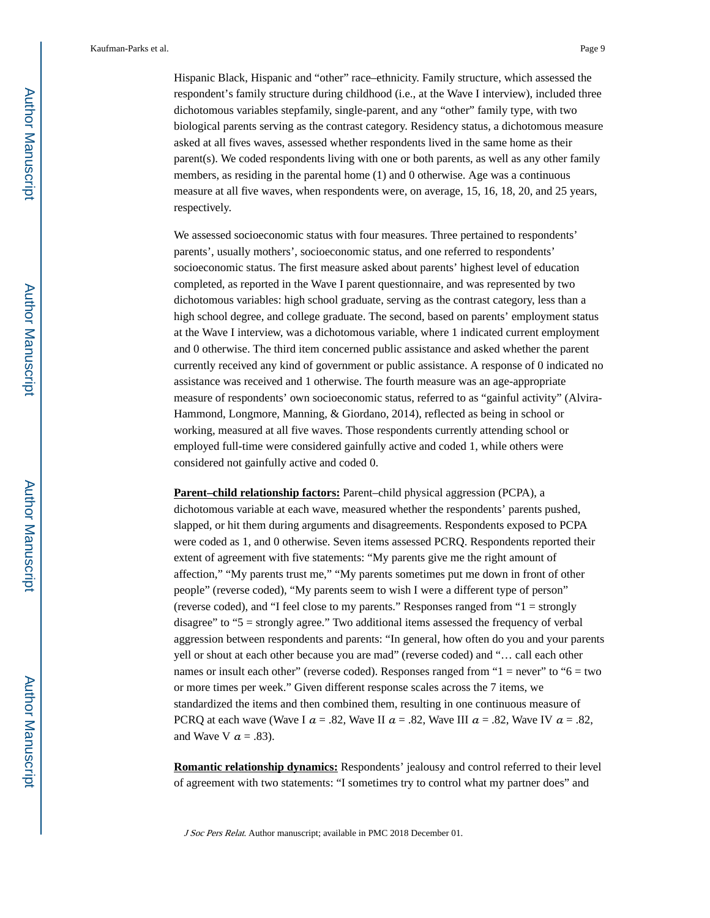Hispanic Black, Hispanic and "other" race–ethnicity. Family structure, which assessed the respondent's family structure during childhood (i.e., at the Wave I interview), included three dichotomous variables stepfamily, single-parent, and any "other" family type, with two

biological parents serving as the contrast category. Residency status, a dichotomous measure asked at all fives waves, assessed whether respondents lived in the same home as their parent(s). We coded respondents living with one or both parents, as well as any other family members, as residing in the parental home (1) and 0 otherwise. Age was a continuous measure at all five waves, when respondents were, on average, 15, 16, 18, 20, and 25 years, respectively.

We assessed socioeconomic status with four measures. Three pertained to respondents' parents', usually mothers', socioeconomic status, and one referred to respondents' socioeconomic status. The first measure asked about parents' highest level of education completed, as reported in the Wave I parent questionnaire, and was represented by two dichotomous variables: high school graduate, serving as the contrast category, less than a high school degree, and college graduate. The second, based on parents' employment status at the Wave I interview, was a dichotomous variable, where 1 indicated current employment and 0 otherwise. The third item concerned public assistance and asked whether the parent currently received any kind of government or public assistance. A response of 0 indicated no assistance was received and 1 otherwise. The fourth measure was an age-appropriate measure of respondents' own socioeconomic status, referred to as "gainful activity" (Alvira-Hammond, Longmore, Manning, & Giordano, 2014), reflected as being in school or working, measured at all five waves. Those respondents currently attending school or employed full-time were considered gainfully active and coded 1, while others were considered not gainfully active and coded 0.

**Parent–child relationship factors:** Parent–child physical aggression (PCPA), a dichotomous variable at each wave, measured whether the respondents' parents pushed, slapped, or hit them during arguments and disagreements. Respondents exposed to PCPA were coded as 1, and 0 otherwise. Seven items assessed PCRQ. Respondents reported their extent of agreement with five statements: "My parents give me the right amount of affection," "My parents trust me," "My parents sometimes put me down in front of other people" (reverse coded), "My parents seem to wish I were a different type of person" (reverse coded), and "I feel close to my parents." Responses ranged from "1 = strongly disagree" to "5 = strongly agree." Two additional items assessed the frequency of verbal aggression between respondents and parents: "In general, how often do you and your parents yell or shout at each other because you are mad" (reverse coded) and "… call each other names or insult each other" (reverse coded). Responses ranged from " $1 =$  never" to " $6 =$  two or more times per week." Given different response scales across the 7 items, we standardized the items and then combined them, resulting in one continuous measure of PCRQ at each wave (Wave I  $\alpha$  = .82, Wave II  $\alpha$  = .82, Wave III  $\alpha$  = .82, Wave IV  $\alpha$  = .82, and Wave V  $a = .83$ ).

**Romantic relationship dynamics:** Respondents' jealousy and control referred to their level of agreement with two statements: "I sometimes try to control what my partner does" and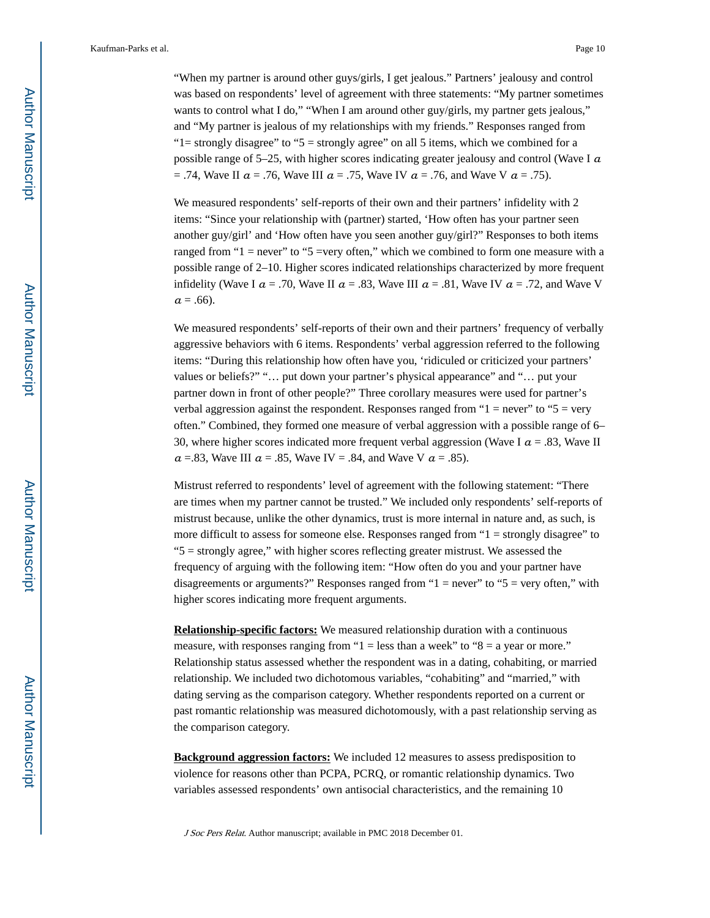"When my partner is around other guys/girls, I get jealous." Partners' jealousy and control was based on respondents' level of agreement with three statements: "My partner sometimes wants to control what I do," "When I am around other guy/girls, my partner gets jealous," and "My partner is jealous of my relationships with my friends." Responses ranged from " $l$  = strongly disagree" to " $5$  = strongly agree" on all 5 items, which we combined for a possible range of 5–25, with higher scores indicating greater jealousy and control (Wave I  $\alpha$ = .74, Wave II  $a = .76$ , Wave III  $a = .75$ , Wave IV  $a = .76$ , and Wave V  $a = .75$ ).

We measured respondents' self-reports of their own and their partners' infidelity with 2 items: "Since your relationship with (partner) started, 'How often has your partner seen another guy/girl' and 'How often have you seen another guy/girl?" Responses to both items ranged from "1 = never" to "5 =very often," which we combined to form one measure with a possible range of 2–10. Higher scores indicated relationships characterized by more frequent infidelity (Wave I  $\alpha = .70$ , Wave II  $\alpha = .83$ , Wave III  $\alpha = .81$ , Wave IV  $\alpha = .72$ , and Wave V  $a = .66$ ).

We measured respondents' self-reports of their own and their partners' frequency of verbally aggressive behaviors with 6 items. Respondents' verbal aggression referred to the following items: "During this relationship how often have you, 'ridiculed or criticized your partners' values or beliefs?" "… put down your partner's physical appearance" and "… put your partner down in front of other people?" Three corollary measures were used for partner's verbal aggression against the respondent. Responses ranged from " $1 =$  never" to " $5 =$  very often." Combined, they formed one measure of verbal aggression with a possible range of 6– 30, where higher scores indicated more frequent verbal aggression (Wave I  $\alpha$  = .83, Wave II  $\alpha$  =.83, Wave III  $\alpha$  = .85, Wave IV = .84, and Wave V  $\alpha$  = .85).

Mistrust referred to respondents' level of agreement with the following statement: "There are times when my partner cannot be trusted." We included only respondents' self-reports of mistrust because, unlike the other dynamics, trust is more internal in nature and, as such, is more difficult to assess for someone else. Responses ranged from "1 = strongly disagree" to "5 = strongly agree," with higher scores reflecting greater mistrust. We assessed the frequency of arguing with the following item: "How often do you and your partner have disagreements or arguments?" Responses ranged from "1 = never" to "5 = very often," with higher scores indicating more frequent arguments.

**Relationship-specific factors:** We measured relationship duration with a continuous measure, with responses ranging from " $1 =$  less than a week" to " $8 =$  a year or more." Relationship status assessed whether the respondent was in a dating, cohabiting, or married relationship. We included two dichotomous variables, "cohabiting" and "married," with dating serving as the comparison category. Whether respondents reported on a current or past romantic relationship was measured dichotomously, with a past relationship serving as the comparison category.

**Background aggression factors:** We included 12 measures to assess predisposition to violence for reasons other than PCPA, PCRQ, or romantic relationship dynamics. Two variables assessed respondents' own antisocial characteristics, and the remaining 10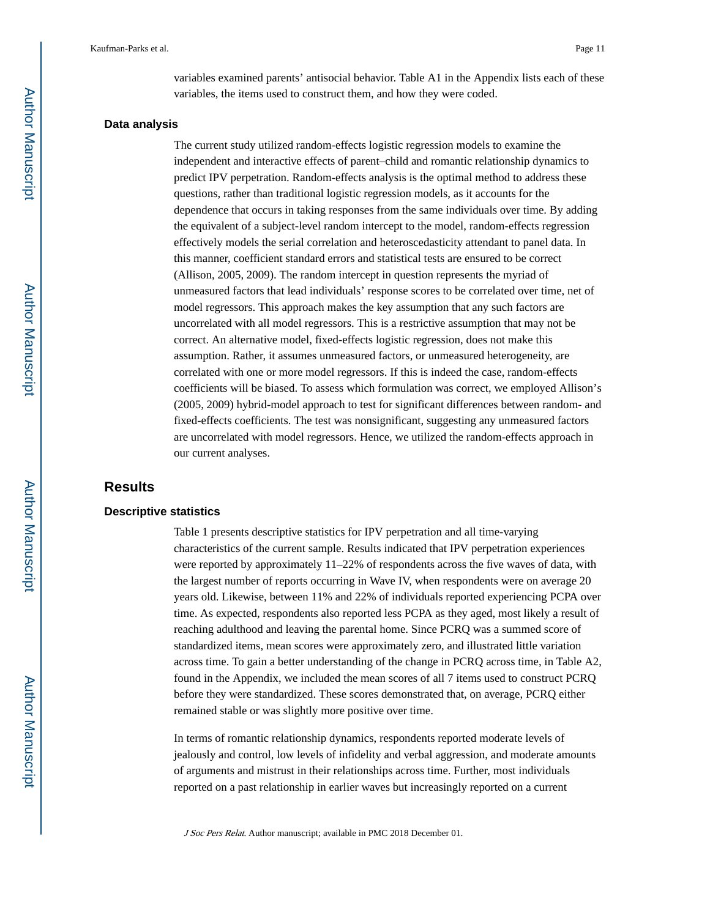variables examined parents' antisocial behavior. Table A1 in the Appendix lists each of these variables, the items used to construct them, and how they were coded.

#### **Data analysis**

The current study utilized random-effects logistic regression models to examine the independent and interactive effects of parent–child and romantic relationship dynamics to predict IPV perpetration. Random-effects analysis is the optimal method to address these questions, rather than traditional logistic regression models, as it accounts for the dependence that occurs in taking responses from the same individuals over time. By adding the equivalent of a subject-level random intercept to the model, random-effects regression effectively models the serial correlation and heteroscedasticity attendant to panel data. In this manner, coefficient standard errors and statistical tests are ensured to be correct (Allison, 2005, 2009). The random intercept in question represents the myriad of unmeasured factors that lead individuals' response scores to be correlated over time, net of model regressors. This approach makes the key assumption that any such factors are uncorrelated with all model regressors. This is a restrictive assumption that may not be correct. An alternative model, fixed-effects logistic regression, does not make this assumption. Rather, it assumes unmeasured factors, or unmeasured heterogeneity, are correlated with one or more model regressors. If this is indeed the case, random-effects coefficients will be biased. To assess which formulation was correct, we employed Allison's (2005, 2009) hybrid-model approach to test for significant differences between random- and fixed-effects coefficients. The test was nonsignificant, suggesting any unmeasured factors are uncorrelated with model regressors. Hence, we utilized the random-effects approach in our current analyses.

## **Results**

#### **Descriptive statistics**

Table 1 presents descriptive statistics for IPV perpetration and all time-varying characteristics of the current sample. Results indicated that IPV perpetration experiences were reported by approximately 11–22% of respondents across the five waves of data, with the largest number of reports occurring in Wave IV, when respondents were on average 20 years old. Likewise, between 11% and 22% of individuals reported experiencing PCPA over time. As expected, respondents also reported less PCPA as they aged, most likely a result of reaching adulthood and leaving the parental home. Since PCRQ was a summed score of standardized items, mean scores were approximately zero, and illustrated little variation across time. To gain a better understanding of the change in PCRQ across time, in Table A2, found in the Appendix, we included the mean scores of all 7 items used to construct PCRQ before they were standardized. These scores demonstrated that, on average, PCRQ either remained stable or was slightly more positive over time.

In terms of romantic relationship dynamics, respondents reported moderate levels of jealously and control, low levels of infidelity and verbal aggression, and moderate amounts of arguments and mistrust in their relationships across time. Further, most individuals reported on a past relationship in earlier waves but increasingly reported on a current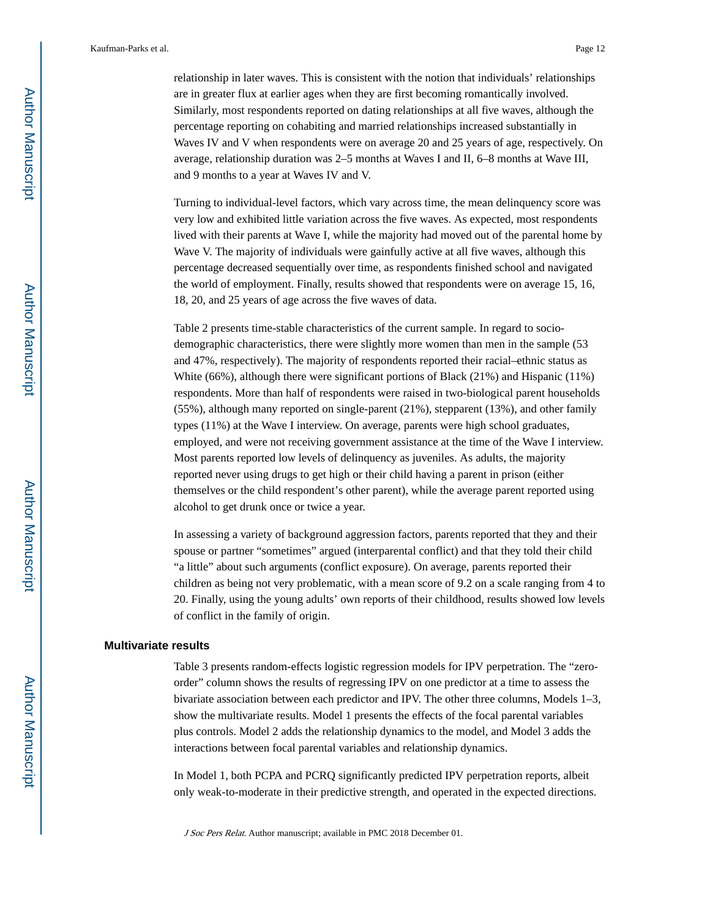relationship in later waves. This is consistent with the notion that individuals' relationships are in greater flux at earlier ages when they are first becoming romantically involved. Similarly, most respondents reported on dating relationships at all five waves, although the percentage reporting on cohabiting and married relationships increased substantially in Waves IV and V when respondents were on average 20 and 25 years of age, respectively. On average, relationship duration was 2–5 months at Waves I and II, 6–8 months at Wave III, and 9 months to a year at Waves IV and V.

Turning to individual-level factors, which vary across time, the mean delinquency score was very low and exhibited little variation across the five waves. As expected, most respondents lived with their parents at Wave I, while the majority had moved out of the parental home by Wave V. The majority of individuals were gainfully active at all five waves, although this percentage decreased sequentially over time, as respondents finished school and navigated the world of employment. Finally, results showed that respondents were on average 15, 16, 18, 20, and 25 years of age across the five waves of data.

Table 2 presents time-stable characteristics of the current sample. In regard to sociodemographic characteristics, there were slightly more women than men in the sample (53 and 47%, respectively). The majority of respondents reported their racial–ethnic status as White (66%), although there were significant portions of Black (21%) and Hispanic (11%) respondents. More than half of respondents were raised in two-biological parent households (55%), although many reported on single-parent (21%), stepparent (13%), and other family types (11%) at the Wave I interview. On average, parents were high school graduates, employed, and were not receiving government assistance at the time of the Wave I interview. Most parents reported low levels of delinquency as juveniles. As adults, the majority reported never using drugs to get high or their child having a parent in prison (either themselves or the child respondent's other parent), while the average parent reported using alcohol to get drunk once or twice a year.

In assessing a variety of background aggression factors, parents reported that they and their spouse or partner "sometimes" argued (interparental conflict) and that they told their child "a little" about such arguments (conflict exposure). On average, parents reported their children as being not very problematic, with a mean score of 9.2 on a scale ranging from 4 to 20. Finally, using the young adults' own reports of their childhood, results showed low levels of conflict in the family of origin.

#### **Multivariate results**

Table 3 presents random-effects logistic regression models for IPV perpetration. The "zeroorder" column shows the results of regressing IPV on one predictor at a time to assess the bivariate association between each predictor and IPV. The other three columns, Models 1–3, show the multivariate results. Model 1 presents the effects of the focal parental variables plus controls. Model 2 adds the relationship dynamics to the model, and Model 3 adds the interactions between focal parental variables and relationship dynamics.

In Model 1, both PCPA and PCRQ significantly predicted IPV perpetration reports, albeit only weak-to-moderate in their predictive strength, and operated in the expected directions.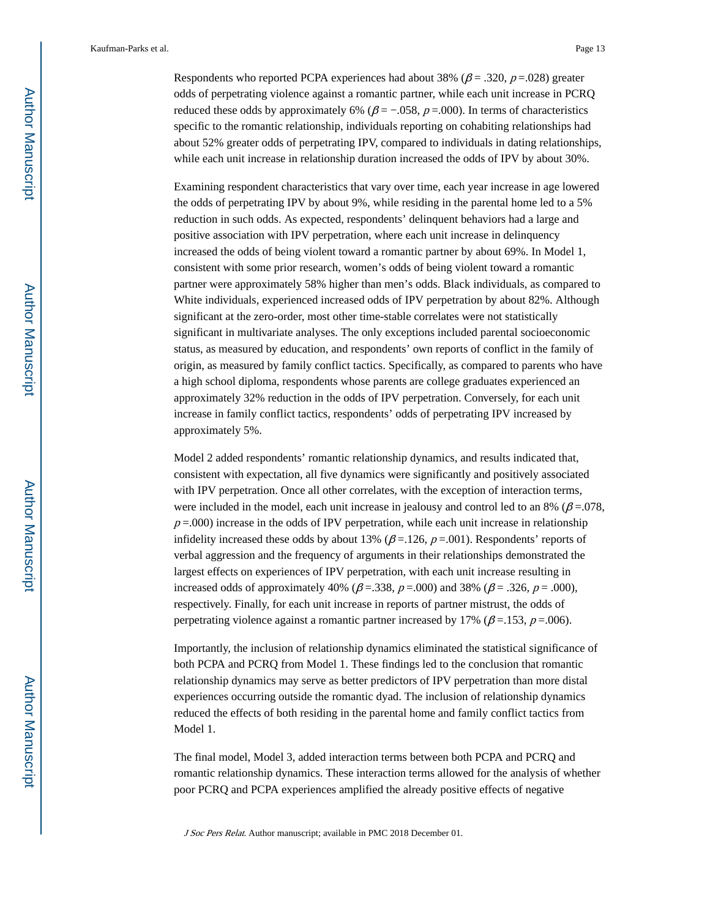Respondents who reported PCPA experiences had about 38% ( $\beta$  = .320, p = .028) greater odds of perpetrating violence against a romantic partner, while each unit increase in PCRQ reduced these odds by approximately 6% ( $\beta$  = -0.058,  $p$  = 0.000). In terms of characteristics specific to the romantic relationship, individuals reporting on cohabiting relationships had about 52% greater odds of perpetrating IPV, compared to individuals in dating relationships, while each unit increase in relationship duration increased the odds of IPV by about 30%.

Examining respondent characteristics that vary over time, each year increase in age lowered the odds of perpetrating IPV by about 9%, while residing in the parental home led to a 5% reduction in such odds. As expected, respondents' delinquent behaviors had a large and positive association with IPV perpetration, where each unit increase in delinquency increased the odds of being violent toward a romantic partner by about 69%. In Model 1, consistent with some prior research, women's odds of being violent toward a romantic partner were approximately 58% higher than men's odds. Black individuals, as compared to White individuals, experienced increased odds of IPV perpetration by about 82%. Although significant at the zero-order, most other time-stable correlates were not statistically significant in multivariate analyses. The only exceptions included parental socioeconomic status, as measured by education, and respondents' own reports of conflict in the family of origin, as measured by family conflict tactics. Specifically, as compared to parents who have a high school diploma, respondents whose parents are college graduates experienced an approximately 32% reduction in the odds of IPV perpetration. Conversely, for each unit increase in family conflict tactics, respondents' odds of perpetrating IPV increased by approximately 5%.

Model 2 added respondents' romantic relationship dynamics, and results indicated that, consistent with expectation, all five dynamics were significantly and positively associated with IPV perpetration. Once all other correlates, with the exception of interaction terms, were included in the model, each unit increase in jealousy and control led to an 8% ( $\beta$  =.078,  $p = 0.000$ ) increase in the odds of IPV perpetration, while each unit increase in relationship infidelity increased these odds by about 13% ( $\beta$  = 126, p = 0.001). Respondents' reports of verbal aggression and the frequency of arguments in their relationships demonstrated the largest effects on experiences of IPV perpetration, with each unit increase resulting in increased odds of approximately 40% ( $\beta$  = .338, p = .000) and 38% ( $\beta$  = .326, p = .000), respectively. Finally, for each unit increase in reports of partner mistrust, the odds of perpetrating violence against a romantic partner increased by 17% ( $\beta$  = 153,  $p$  = 006).

Importantly, the inclusion of relationship dynamics eliminated the statistical significance of both PCPA and PCRQ from Model 1. These findings led to the conclusion that romantic relationship dynamics may serve as better predictors of IPV perpetration than more distal experiences occurring outside the romantic dyad. The inclusion of relationship dynamics reduced the effects of both residing in the parental home and family conflict tactics from Model 1.

The final model, Model 3, added interaction terms between both PCPA and PCRQ and romantic relationship dynamics. These interaction terms allowed for the analysis of whether poor PCRQ and PCPA experiences amplified the already positive effects of negative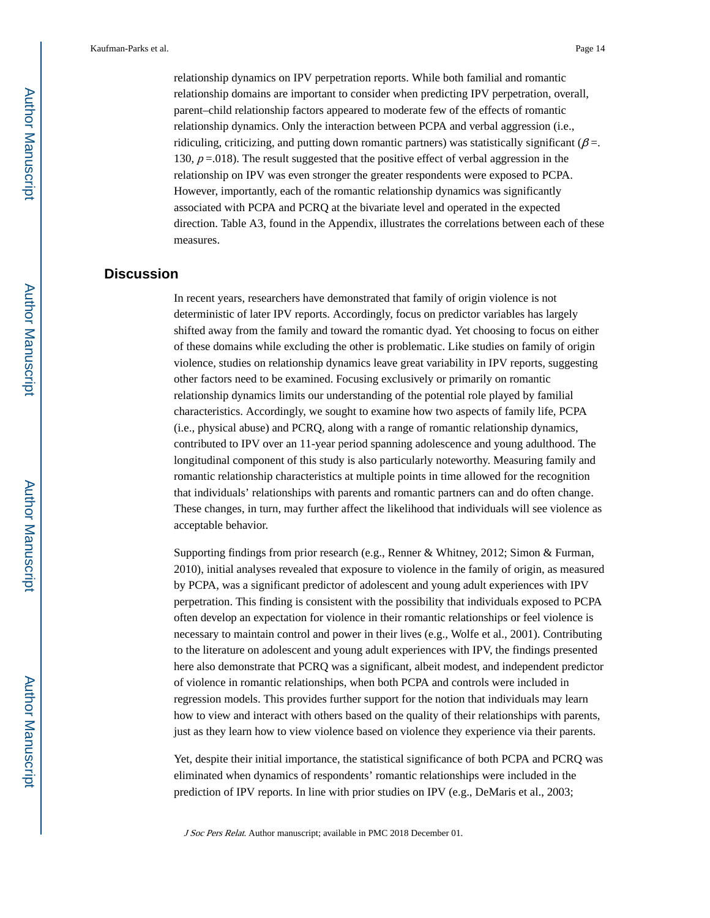relationship dynamics on IPV perpetration reports. While both familial and romantic relationship domains are important to consider when predicting IPV perpetration, overall, parent–child relationship factors appeared to moderate few of the effects of romantic relationship dynamics. Only the interaction between PCPA and verbal aggression (i.e., ridiculing, criticizing, and putting down romantic partners) was statistically significant ( $\beta$ =. 130,  $p = 0.018$ ). The result suggested that the positive effect of verbal aggression in the relationship on IPV was even stronger the greater respondents were exposed to PCPA. However, importantly, each of the romantic relationship dynamics was significantly associated with PCPA and PCRQ at the bivariate level and operated in the expected direction. Table A3, found in the Appendix, illustrates the correlations between each of these measures.

## **Discussion**

In recent years, researchers have demonstrated that family of origin violence is not deterministic of later IPV reports. Accordingly, focus on predictor variables has largely shifted away from the family and toward the romantic dyad. Yet choosing to focus on either of these domains while excluding the other is problematic. Like studies on family of origin violence, studies on relationship dynamics leave great variability in IPV reports, suggesting other factors need to be examined. Focusing exclusively or primarily on romantic relationship dynamics limits our understanding of the potential role played by familial characteristics. Accordingly, we sought to examine how two aspects of family life, PCPA (i.e., physical abuse) and PCRQ, along with a range of romantic relationship dynamics, contributed to IPV over an 11-year period spanning adolescence and young adulthood. The longitudinal component of this study is also particularly noteworthy. Measuring family and romantic relationship characteristics at multiple points in time allowed for the recognition that individuals' relationships with parents and romantic partners can and do often change. These changes, in turn, may further affect the likelihood that individuals will see violence as acceptable behavior.

Supporting findings from prior research (e.g., Renner & Whitney, 2012; Simon & Furman, 2010), initial analyses revealed that exposure to violence in the family of origin, as measured by PCPA, was a significant predictor of adolescent and young adult experiences with IPV perpetration. This finding is consistent with the possibility that individuals exposed to PCPA often develop an expectation for violence in their romantic relationships or feel violence is necessary to maintain control and power in their lives (e.g., Wolfe et al., 2001). Contributing to the literature on adolescent and young adult experiences with IPV, the findings presented here also demonstrate that PCRQ was a significant, albeit modest, and independent predictor of violence in romantic relationships, when both PCPA and controls were included in regression models. This provides further support for the notion that individuals may learn how to view and interact with others based on the quality of their relationships with parents, just as they learn how to view violence based on violence they experience via their parents.

Yet, despite their initial importance, the statistical significance of both PCPA and PCRQ was eliminated when dynamics of respondents' romantic relationships were included in the prediction of IPV reports. In line with prior studies on IPV (e.g., DeMaris et al., 2003;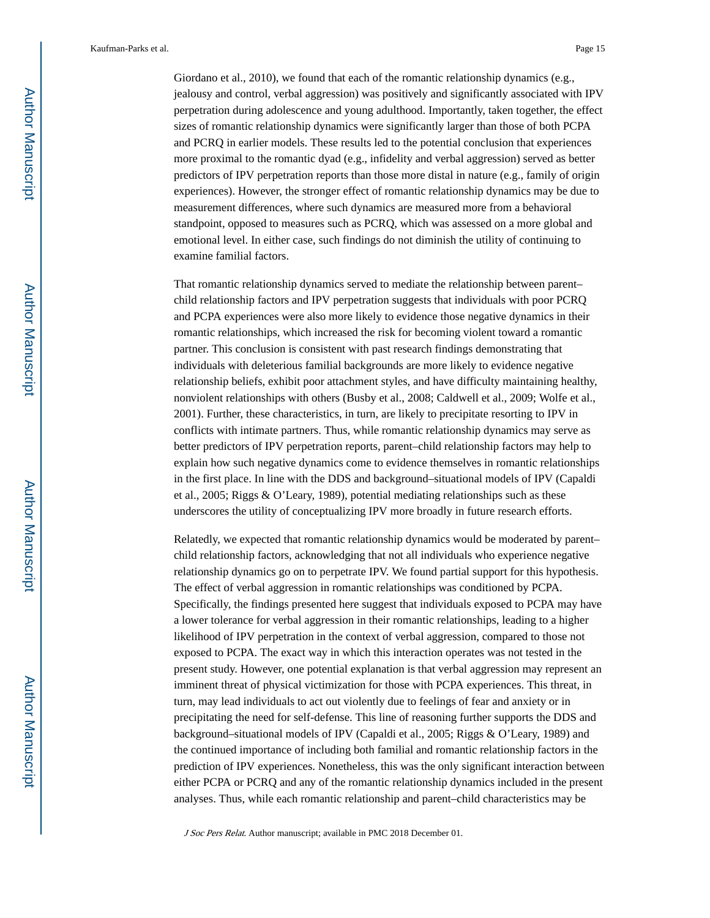Giordano et al., 2010), we found that each of the romantic relationship dynamics (e.g., jealousy and control, verbal aggression) was positively and significantly associated with IPV perpetration during adolescence and young adulthood. Importantly, taken together, the effect sizes of romantic relationship dynamics were significantly larger than those of both PCPA and PCRQ in earlier models. These results led to the potential conclusion that experiences more proximal to the romantic dyad (e.g., infidelity and verbal aggression) served as better predictors of IPV perpetration reports than those more distal in nature (e.g., family of origin experiences). However, the stronger effect of romantic relationship dynamics may be due to measurement differences, where such dynamics are measured more from a behavioral standpoint, opposed to measures such as PCRQ, which was assessed on a more global and emotional level. In either case, such findings do not diminish the utility of continuing to examine familial factors.

That romantic relationship dynamics served to mediate the relationship between parent– child relationship factors and IPV perpetration suggests that individuals with poor PCRQ and PCPA experiences were also more likely to evidence those negative dynamics in their romantic relationships, which increased the risk for becoming violent toward a romantic partner. This conclusion is consistent with past research findings demonstrating that individuals with deleterious familial backgrounds are more likely to evidence negative relationship beliefs, exhibit poor attachment styles, and have difficulty maintaining healthy, nonviolent relationships with others (Busby et al., 2008; Caldwell et al., 2009; Wolfe et al., 2001). Further, these characteristics, in turn, are likely to precipitate resorting to IPV in conflicts with intimate partners. Thus, while romantic relationship dynamics may serve as better predictors of IPV perpetration reports, parent–child relationship factors may help to explain how such negative dynamics come to evidence themselves in romantic relationships in the first place. In line with the DDS and background–situational models of IPV (Capaldi et al., 2005; Riggs & O'Leary, 1989), potential mediating relationships such as these underscores the utility of conceptualizing IPV more broadly in future research efforts.

Relatedly, we expected that romantic relationship dynamics would be moderated by parent– child relationship factors, acknowledging that not all individuals who experience negative relationship dynamics go on to perpetrate IPV. We found partial support for this hypothesis. The effect of verbal aggression in romantic relationships was conditioned by PCPA. Specifically, the findings presented here suggest that individuals exposed to PCPA may have a lower tolerance for verbal aggression in their romantic relationships, leading to a higher likelihood of IPV perpetration in the context of verbal aggression, compared to those not exposed to PCPA. The exact way in which this interaction operates was not tested in the present study. However, one potential explanation is that verbal aggression may represent an imminent threat of physical victimization for those with PCPA experiences. This threat, in turn, may lead individuals to act out violently due to feelings of fear and anxiety or in precipitating the need for self-defense. This line of reasoning further supports the DDS and background–situational models of IPV (Capaldi et al., 2005; Riggs & O'Leary, 1989) and the continued importance of including both familial and romantic relationship factors in the prediction of IPV experiences. Nonetheless, this was the only significant interaction between either PCPA or PCRQ and any of the romantic relationship dynamics included in the present analyses. Thus, while each romantic relationship and parent–child characteristics may be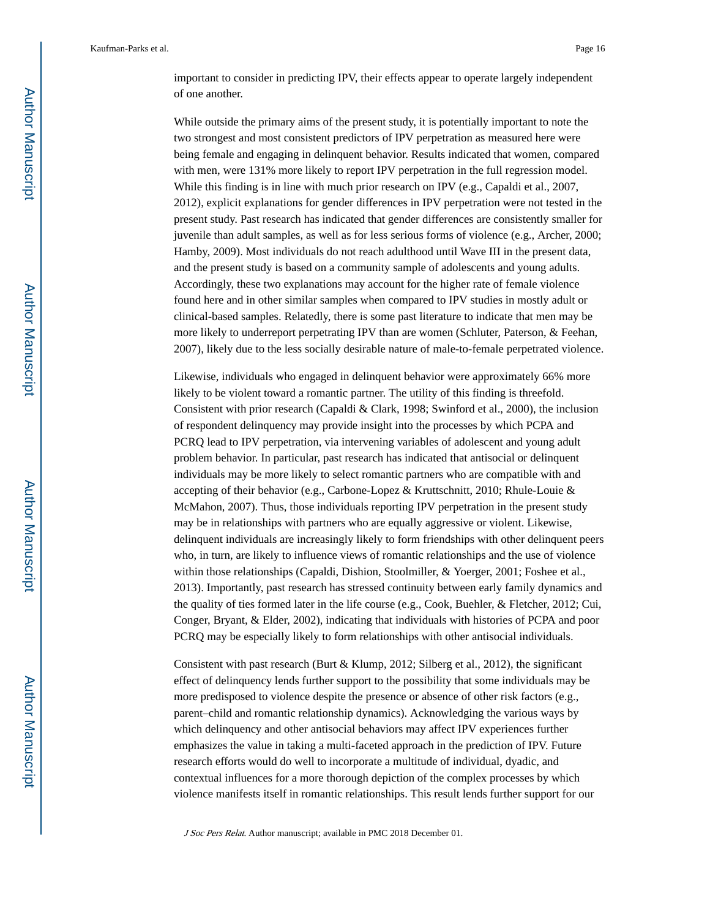important to consider in predicting IPV, their effects appear to operate largely independent of one another.

While outside the primary aims of the present study, it is potentially important to note the two strongest and most consistent predictors of IPV perpetration as measured here were being female and engaging in delinquent behavior. Results indicated that women, compared with men, were 131% more likely to report IPV perpetration in the full regression model. While this finding is in line with much prior research on IPV (e.g., Capaldi et al., 2007, 2012), explicit explanations for gender differences in IPV perpetration were not tested in the present study. Past research has indicated that gender differences are consistently smaller for juvenile than adult samples, as well as for less serious forms of violence (e.g., Archer, 2000; Hamby, 2009). Most individuals do not reach adulthood until Wave III in the present data, and the present study is based on a community sample of adolescents and young adults. Accordingly, these two explanations may account for the higher rate of female violence found here and in other similar samples when compared to IPV studies in mostly adult or clinical-based samples. Relatedly, there is some past literature to indicate that men may be more likely to underreport perpetrating IPV than are women (Schluter, Paterson, & Feehan, 2007), likely due to the less socially desirable nature of male-to-female perpetrated violence.

Likewise, individuals who engaged in delinquent behavior were approximately 66% more likely to be violent toward a romantic partner. The utility of this finding is threefold. Consistent with prior research (Capaldi & Clark, 1998; Swinford et al., 2000), the inclusion of respondent delinquency may provide insight into the processes by which PCPA and PCRQ lead to IPV perpetration, via intervening variables of adolescent and young adult problem behavior. In particular, past research has indicated that antisocial or delinquent individuals may be more likely to select romantic partners who are compatible with and accepting of their behavior (e.g., Carbone-Lopez & Kruttschnitt, 2010; Rhule-Louie & McMahon, 2007). Thus, those individuals reporting IPV perpetration in the present study may be in relationships with partners who are equally aggressive or violent. Likewise, delinquent individuals are increasingly likely to form friendships with other delinquent peers who, in turn, are likely to influence views of romantic relationships and the use of violence within those relationships (Capaldi, Dishion, Stoolmiller, & Yoerger, 2001; Foshee et al., 2013). Importantly, past research has stressed continuity between early family dynamics and the quality of ties formed later in the life course (e.g., Cook, Buehler, & Fletcher, 2012; Cui, Conger, Bryant, & Elder, 2002), indicating that individuals with histories of PCPA and poor PCRQ may be especially likely to form relationships with other antisocial individuals.

Consistent with past research (Burt & Klump, 2012; Silberg et al., 2012), the significant effect of delinquency lends further support to the possibility that some individuals may be more predisposed to violence despite the presence or absence of other risk factors (e.g., parent–child and romantic relationship dynamics). Acknowledging the various ways by which delinquency and other antisocial behaviors may affect IPV experiences further emphasizes the value in taking a multi-faceted approach in the prediction of IPV. Future research efforts would do well to incorporate a multitude of individual, dyadic, and contextual influences for a more thorough depiction of the complex processes by which violence manifests itself in romantic relationships. This result lends further support for our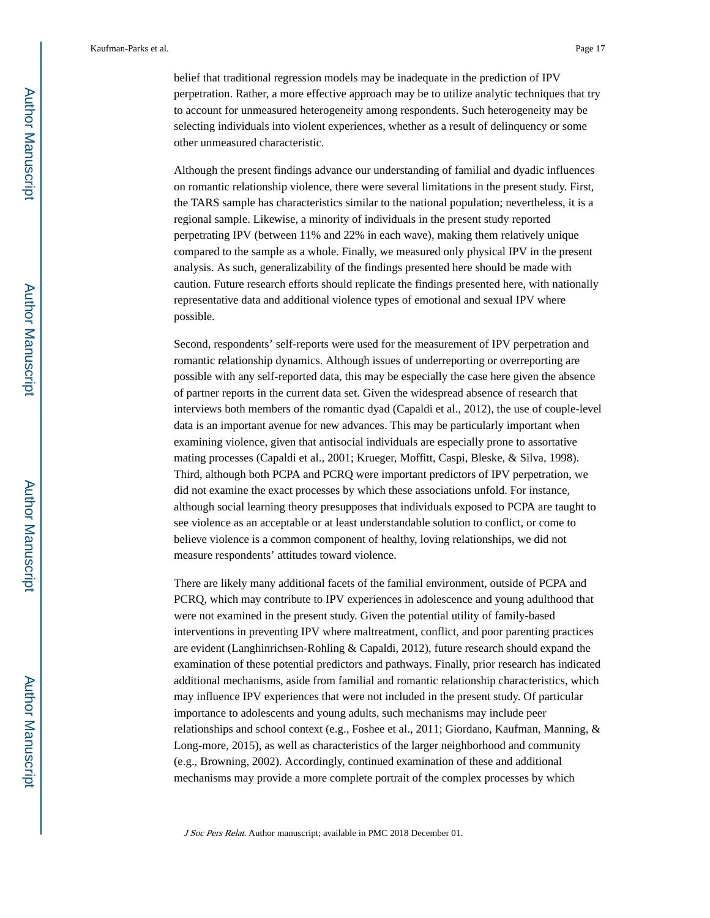belief that traditional regression models may be inadequate in the prediction of IPV perpetration. Rather, a more effective approach may be to utilize analytic techniques that try to account for unmeasured heterogeneity among respondents. Such heterogeneity may be selecting individuals into violent experiences, whether as a result of delinquency or some other unmeasured characteristic.

Although the present findings advance our understanding of familial and dyadic influences on romantic relationship violence, there were several limitations in the present study. First, the TARS sample has characteristics similar to the national population; nevertheless, it is a regional sample. Likewise, a minority of individuals in the present study reported perpetrating IPV (between 11% and 22% in each wave), making them relatively unique compared to the sample as a whole. Finally, we measured only physical IPV in the present analysis. As such, generalizability of the findings presented here should be made with caution. Future research efforts should replicate the findings presented here, with nationally representative data and additional violence types of emotional and sexual IPV where possible.

Second, respondents' self-reports were used for the measurement of IPV perpetration and romantic relationship dynamics. Although issues of underreporting or overreporting are possible with any self-reported data, this may be especially the case here given the absence of partner reports in the current data set. Given the widespread absence of research that interviews both members of the romantic dyad (Capaldi et al., 2012), the use of couple-level data is an important avenue for new advances. This may be particularly important when examining violence, given that antisocial individuals are especially prone to assortative mating processes (Capaldi et al., 2001; Krueger, Moffitt, Caspi, Bleske, & Silva, 1998). Third, although both PCPA and PCRQ were important predictors of IPV perpetration, we did not examine the exact processes by which these associations unfold. For instance, although social learning theory presupposes that individuals exposed to PCPA are taught to see violence as an acceptable or at least understandable solution to conflict, or come to believe violence is a common component of healthy, loving relationships, we did not measure respondents' attitudes toward violence.

There are likely many additional facets of the familial environment, outside of PCPA and PCRQ, which may contribute to IPV experiences in adolescence and young adulthood that were not examined in the present study. Given the potential utility of family-based interventions in preventing IPV where maltreatment, conflict, and poor parenting practices are evident (Langhinrichsen-Rohling & Capaldi, 2012), future research should expand the examination of these potential predictors and pathways. Finally, prior research has indicated additional mechanisms, aside from familial and romantic relationship characteristics, which may influence IPV experiences that were not included in the present study. Of particular importance to adolescents and young adults, such mechanisms may include peer relationships and school context (e.g., Foshee et al., 2011; Giordano, Kaufman, Manning, & Long-more, 2015), as well as characteristics of the larger neighborhood and community (e.g., Browning, 2002). Accordingly, continued examination of these and additional mechanisms may provide a more complete portrait of the complex processes by which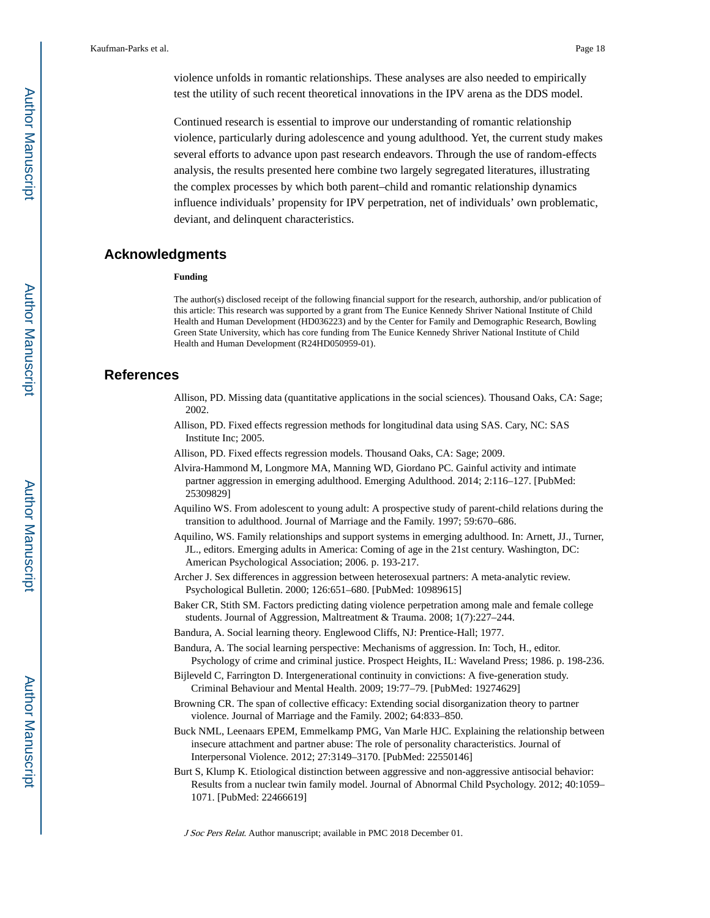violence unfolds in romantic relationships. These analyses are also needed to empirically test the utility of such recent theoretical innovations in the IPV arena as the DDS model.

Continued research is essential to improve our understanding of romantic relationship violence, particularly during adolescence and young adulthood. Yet, the current study makes several efforts to advance upon past research endeavors. Through the use of random-effects analysis, the results presented here combine two largely segregated literatures, illustrating the complex processes by which both parent–child and romantic relationship dynamics influence individuals' propensity for IPV perpetration, net of individuals' own problematic, deviant, and delinquent characteristics.

#### **Acknowledgments**

#### **Funding**

The author(s) disclosed receipt of the following financial support for the research, authorship, and/or publication of this article: This research was supported by a grant from The Eunice Kennedy Shriver National Institute of Child Health and Human Development (HD036223) and by the Center for Family and Demographic Research, Bowling Green State University, which has core funding from The Eunice Kennedy Shriver National Institute of Child Health and Human Development (R24HD050959-01).

## **References**

- Allison, PD. Missing data (quantitative applications in the social sciences). Thousand Oaks, CA: Sage; 2002.
- Allison, PD. Fixed effects regression methods for longitudinal data using SAS. Cary, NC: SAS Institute Inc; 2005.
- Allison, PD. Fixed effects regression models. Thousand Oaks, CA: Sage; 2009.
- Alvira-Hammond M, Longmore MA, Manning WD, Giordano PC. Gainful activity and intimate partner aggression in emerging adulthood. Emerging Adulthood. 2014; 2:116–127. [PubMed: 25309829]
- Aquilino WS. From adolescent to young adult: A prospective study of parent-child relations during the transition to adulthood. Journal of Marriage and the Family. 1997; 59:670–686.
- Aquilino, WS. Family relationships and support systems in emerging adulthood. In: Arnett, JJ., Turner, JL., editors. Emerging adults in America: Coming of age in the 21st century. Washington, DC: American Psychological Association; 2006. p. 193-217.
- Archer J. Sex differences in aggression between heterosexual partners: A meta-analytic review. Psychological Bulletin. 2000; 126:651–680. [PubMed: 10989615]
- Baker CR, Stith SM. Factors predicting dating violence perpetration among male and female college students. Journal of Aggression, Maltreatment & Trauma. 2008; 1(7):227–244.
- Bandura, A. Social learning theory. Englewood Cliffs, NJ: Prentice-Hall; 1977.
- Bandura, A. The social learning perspective: Mechanisms of aggression. In: Toch, H., editor. Psychology of crime and criminal justice. Prospect Heights, IL: Waveland Press; 1986. p. 198-236.
- Bijleveld C, Farrington D. Intergenerational continuity in convictions: A five-generation study. Criminal Behaviour and Mental Health. 2009; 19:77–79. [PubMed: 19274629]
- Browning CR. The span of collective efficacy: Extending social disorganization theory to partner violence. Journal of Marriage and the Family. 2002; 64:833–850.
- Buck NML, Leenaars EPEM, Emmelkamp PMG, Van Marle HJC. Explaining the relationship between insecure attachment and partner abuse: The role of personality characteristics. Journal of Interpersonal Violence. 2012; 27:3149–3170. [PubMed: 22550146]
- Burt S, Klump K. Etiological distinction between aggressive and non-aggressive antisocial behavior: Results from a nuclear twin family model. Journal of Abnormal Child Psychology. 2012; 40:1059– 1071. [PubMed: 22466619]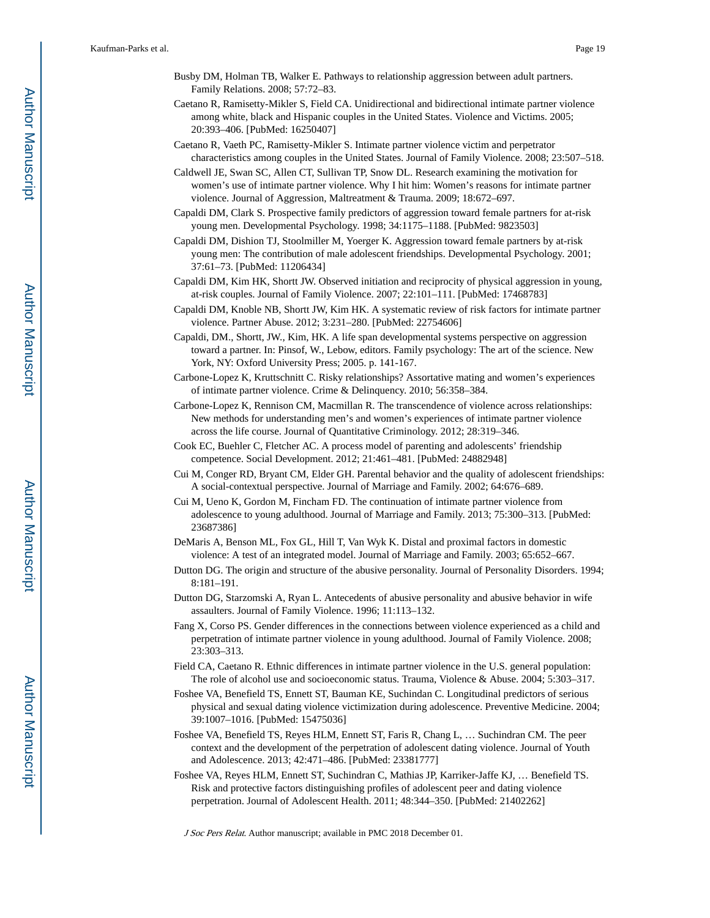- Busby DM, Holman TB, Walker E. Pathways to relationship aggression between adult partners. Family Relations. 2008; 57:72–83.
- Caetano R, Ramisetty-Mikler S, Field CA. Unidirectional and bidirectional intimate partner violence among white, black and Hispanic couples in the United States. Violence and Victims. 2005; 20:393–406. [PubMed: 16250407]
- Caetano R, Vaeth PC, Ramisetty-Mikler S. Intimate partner violence victim and perpetrator characteristics among couples in the United States. Journal of Family Violence. 2008; 23:507–518.
- Caldwell JE, Swan SC, Allen CT, Sullivan TP, Snow DL. Research examining the motivation for women's use of intimate partner violence. Why I hit him: Women's reasons for intimate partner violence. Journal of Aggression, Maltreatment & Trauma. 2009; 18:672–697.
- Capaldi DM, Clark S. Prospective family predictors of aggression toward female partners for at-risk young men. Developmental Psychology. 1998; 34:1175–1188. [PubMed: 9823503]
- Capaldi DM, Dishion TJ, Stoolmiller M, Yoerger K. Aggression toward female partners by at-risk young men: The contribution of male adolescent friendships. Developmental Psychology. 2001; 37:61–73. [PubMed: 11206434]
- Capaldi DM, Kim HK, Shortt JW. Observed initiation and reciprocity of physical aggression in young, at-risk couples. Journal of Family Violence. 2007; 22:101–111. [PubMed: 17468783]
- Capaldi DM, Knoble NB, Shortt JW, Kim HK. A systematic review of risk factors for intimate partner violence. Partner Abuse. 2012; 3:231–280. [PubMed: 22754606]
- Capaldi, DM., Shortt, JW., Kim, HK. A life span developmental systems perspective on aggression toward a partner. In: Pinsof, W., Lebow, editors. Family psychology: The art of the science. New York, NY: Oxford University Press; 2005. p. 141-167.
- Carbone-Lopez K, Kruttschnitt C. Risky relationships? Assortative mating and women's experiences of intimate partner violence. Crime & Delinquency. 2010; 56:358–384.
- Carbone-Lopez K, Rennison CM, Macmillan R. The transcendence of violence across relationships: New methods for understanding men's and women's experiences of intimate partner violence across the life course. Journal of Quantitative Criminology. 2012; 28:319–346.
- Cook EC, Buehler C, Fletcher AC. A process model of parenting and adolescents' friendship competence. Social Development. 2012; 21:461–481. [PubMed: 24882948]
- Cui M, Conger RD, Bryant CM, Elder GH. Parental behavior and the quality of adolescent friendships: A social-contextual perspective. Journal of Marriage and Family. 2002; 64:676–689.
- Cui M, Ueno K, Gordon M, Fincham FD. The continuation of intimate partner violence from adolescence to young adulthood. Journal of Marriage and Family. 2013; 75:300–313. [PubMed: 23687386]
- DeMaris A, Benson ML, Fox GL, Hill T, Van Wyk K. Distal and proximal factors in domestic violence: A test of an integrated model. Journal of Marriage and Family. 2003; 65:652–667.
- Dutton DG. The origin and structure of the abusive personality. Journal of Personality Disorders. 1994; 8:181–191.
- Dutton DG, Starzomski A, Ryan L. Antecedents of abusive personality and abusive behavior in wife assaulters. Journal of Family Violence. 1996; 11:113–132.
- Fang X, Corso PS. Gender differences in the connections between violence experienced as a child and perpetration of intimate partner violence in young adulthood. Journal of Family Violence. 2008; 23:303–313.
- Field CA, Caetano R. Ethnic differences in intimate partner violence in the U.S. general population: The role of alcohol use and socioeconomic status. Trauma, Violence & Abuse. 2004; 5:303–317.
- Foshee VA, Benefield TS, Ennett ST, Bauman KE, Suchindan C. Longitudinal predictors of serious physical and sexual dating violence victimization during adolescence. Preventive Medicine. 2004; 39:1007–1016. [PubMed: 15475036]
- Foshee VA, Benefield TS, Reyes HLM, Ennett ST, Faris R, Chang L, … Suchindran CM. The peer context and the development of the perpetration of adolescent dating violence. Journal of Youth and Adolescence. 2013; 42:471–486. [PubMed: 23381777]
- Foshee VA, Reyes HLM, Ennett ST, Suchindran C, Mathias JP, Karriker-Jaffe KJ, … Benefield TS. Risk and protective factors distinguishing profiles of adolescent peer and dating violence perpetration. Journal of Adolescent Health. 2011; 48:344–350. [PubMed: 21402262]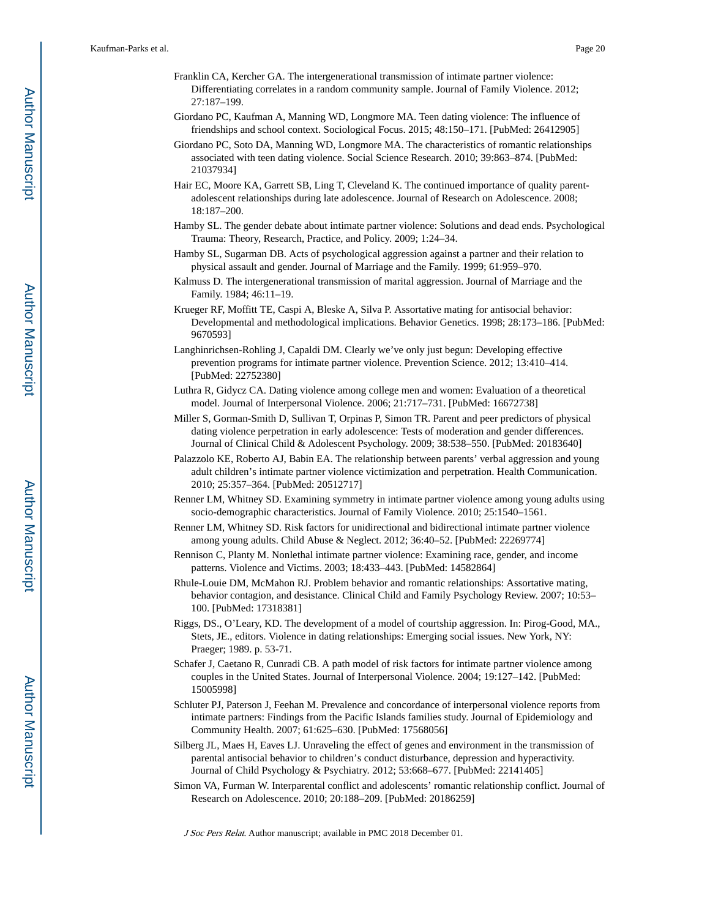- Franklin CA, Kercher GA. The intergenerational transmission of intimate partner violence: Differentiating correlates in a random community sample. Journal of Family Violence. 2012; 27:187–199.
- Giordano PC, Kaufman A, Manning WD, Longmore MA. Teen dating violence: The influence of friendships and school context. Sociological Focus. 2015; 48:150–171. [PubMed: 26412905]
- Giordano PC, Soto DA, Manning WD, Longmore MA. The characteristics of romantic relationships associated with teen dating violence. Social Science Research. 2010; 39:863–874. [PubMed: 21037934]
- Hair EC, Moore KA, Garrett SB, Ling T, Cleveland K. The continued importance of quality parentadolescent relationships during late adolescence. Journal of Research on Adolescence. 2008; 18:187–200.
- Hamby SL. The gender debate about intimate partner violence: Solutions and dead ends. Psychological Trauma: Theory, Research, Practice, and Policy. 2009; 1:24–34.
- Hamby SL, Sugarman DB. Acts of psychological aggression against a partner and their relation to physical assault and gender. Journal of Marriage and the Family. 1999; 61:959–970.
- Kalmuss D. The intergenerational transmission of marital aggression. Journal of Marriage and the Family. 1984; 46:11–19.
- Krueger RF, Moffitt TE, Caspi A, Bleske A, Silva P. Assortative mating for antisocial behavior: Developmental and methodological implications. Behavior Genetics. 1998; 28:173–186. [PubMed: 9670593]
- Langhinrichsen-Rohling J, Capaldi DM. Clearly we've only just begun: Developing effective prevention programs for intimate partner violence. Prevention Science. 2012; 13:410–414. [PubMed: 22752380]
- Luthra R, Gidycz CA. Dating violence among college men and women: Evaluation of a theoretical model. Journal of Interpersonal Violence. 2006; 21:717–731. [PubMed: 16672738]
- Miller S, Gorman-Smith D, Sullivan T, Orpinas P, Simon TR. Parent and peer predictors of physical dating violence perpetration in early adolescence: Tests of moderation and gender differences. Journal of Clinical Child & Adolescent Psychology. 2009; 38:538–550. [PubMed: 20183640]
- Palazzolo KE, Roberto AJ, Babin EA. The relationship between parents' verbal aggression and young adult children's intimate partner violence victimization and perpetration. Health Communication. 2010; 25:357–364. [PubMed: 20512717]
- Renner LM, Whitney SD. Examining symmetry in intimate partner violence among young adults using socio-demographic characteristics. Journal of Family Violence. 2010; 25:1540–1561.
- Renner LM, Whitney SD. Risk factors for unidirectional and bidirectional intimate partner violence among young adults. Child Abuse & Neglect. 2012; 36:40–52. [PubMed: 22269774]
- Rennison C, Planty M. Nonlethal intimate partner violence: Examining race, gender, and income patterns. Violence and Victims. 2003; 18:433–443. [PubMed: 14582864]
- Rhule-Louie DM, McMahon RJ. Problem behavior and romantic relationships: Assortative mating, behavior contagion, and desistance. Clinical Child and Family Psychology Review. 2007; 10:53– 100. [PubMed: 17318381]
- Riggs, DS., O'Leary, KD. The development of a model of courtship aggression. In: Pirog-Good, MA., Stets, JE., editors. Violence in dating relationships: Emerging social issues. New York, NY: Praeger; 1989. p. 53-71.
- Schafer J, Caetano R, Cunradi CB. A path model of risk factors for intimate partner violence among couples in the United States. Journal of Interpersonal Violence. 2004; 19:127–142. [PubMed: 15005998]
- Schluter PJ, Paterson J, Feehan M. Prevalence and concordance of interpersonal violence reports from intimate partners: Findings from the Pacific Islands families study. Journal of Epidemiology and Community Health. 2007; 61:625–630. [PubMed: 17568056]
- Silberg JL, Maes H, Eaves LJ. Unraveling the effect of genes and environment in the transmission of parental antisocial behavior to children's conduct disturbance, depression and hyperactivity. Journal of Child Psychology & Psychiatry. 2012; 53:668–677. [PubMed: 22141405]
- Simon VA, Furman W. Interparental conflict and adolescents' romantic relationship conflict. Journal of Research on Adolescence. 2010; 20:188–209. [PubMed: 20186259]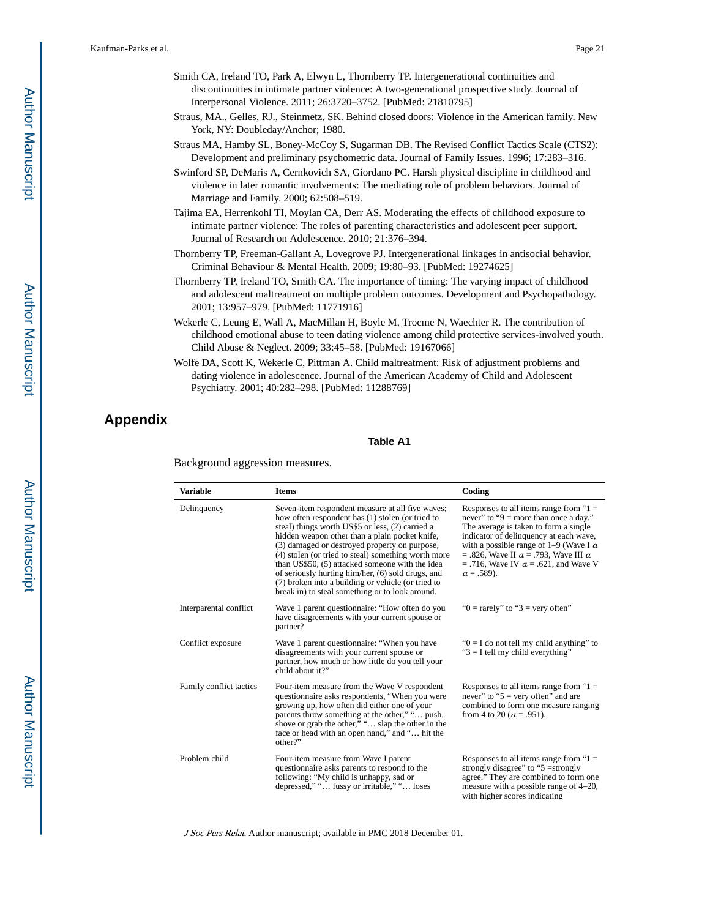- Smith CA, Ireland TO, Park A, Elwyn L, Thornberry TP. Intergenerational continuities and discontinuities in intimate partner violence: A two-generational prospective study. Journal of Interpersonal Violence. 2011; 26:3720–3752. [PubMed: 21810795]
- Straus, MA., Gelles, RJ., Steinmetz, SK. Behind closed doors: Violence in the American family. New York, NY: Doubleday/Anchor; 1980.
- Straus MA, Hamby SL, Boney-McCoy S, Sugarman DB. The Revised Conflict Tactics Scale (CTS2): Development and preliminary psychometric data. Journal of Family Issues. 1996; 17:283–316.
- Swinford SP, DeMaris A, Cernkovich SA, Giordano PC. Harsh physical discipline in childhood and violence in later romantic involvements: The mediating role of problem behaviors. Journal of Marriage and Family. 2000; 62:508–519.
- Tajima EA, Herrenkohl TI, Moylan CA, Derr AS. Moderating the effects of childhood exposure to intimate partner violence: The roles of parenting characteristics and adolescent peer support. Journal of Research on Adolescence. 2010; 21:376–394.
- Thornberry TP, Freeman-Gallant A, Lovegrove PJ. Intergenerational linkages in antisocial behavior. Criminal Behaviour & Mental Health. 2009; 19:80–93. [PubMed: 19274625]
- Thornberry TP, Ireland TO, Smith CA. The importance of timing: The varying impact of childhood and adolescent maltreatment on multiple problem outcomes. Development and Psychopathology. 2001; 13:957–979. [PubMed: 11771916]
- Wekerle C, Leung E, Wall A, MacMillan H, Boyle M, Trocme N, Waechter R. The contribution of childhood emotional abuse to teen dating violence among child protective services-involved youth. Child Abuse & Neglect. 2009; 33:45–58. [PubMed: 19167066]
- Wolfe DA, Scott K, Wekerle C, Pittman A. Child maltreatment: Risk of adjustment problems and dating violence in adolescence. Journal of the American Academy of Child and Adolescent Psychiatry. 2001; 40:282–298. [PubMed: 11288769]

## **Appendix**

#### **Table A1**

Background aggression measures.

| <b>Variable</b>         | <b>Items</b>                                                                                                                                                                                                                                                                                                                                                                                                                                                                                                                        | Coding                                                                                                                                                                                                                                                                                                                                       |  |  |
|-------------------------|-------------------------------------------------------------------------------------------------------------------------------------------------------------------------------------------------------------------------------------------------------------------------------------------------------------------------------------------------------------------------------------------------------------------------------------------------------------------------------------------------------------------------------------|----------------------------------------------------------------------------------------------------------------------------------------------------------------------------------------------------------------------------------------------------------------------------------------------------------------------------------------------|--|--|
| Delinquency             | Seven-item respondent measure at all five waves;<br>how often respondent has (1) stolen (or tried to<br>steal) things worth US\$5 or less, (2) carried a<br>hidden weapon other than a plain pocket knife,<br>(3) damaged or destroyed property on purpose,<br>(4) stolen (or tried to steal) something worth more<br>than US\$50, (5) attacked someone with the idea<br>of seriously hurting him/her, (6) sold drugs, and<br>(7) broken into a building or vehicle (or tried to<br>break in) to steal something or to look around. | Responses to all items range from " $1 =$<br>never" to "9 = more than once a day."<br>The average is taken to form a single<br>indicator of delinquency at each wave,<br>with a possible range of $1-9$ (Wave I $\alpha$<br>$= .826$ , Wave II $a = .793$ , Wave III $a$<br>$= .716$ , Wave IV $\alpha = .621$ , and Wave V<br>$a = .589$ ). |  |  |
| Interparental conflict  | Wave 1 parent questionnaire: "How often do you<br>have disagreements with your current spouse or<br>partner?                                                                                                                                                                                                                                                                                                                                                                                                                        | " $0 = \text{rarely}$ " to " $3 = \text{very often}$ "                                                                                                                                                                                                                                                                                       |  |  |
| Conflict exposure       | Wave 1 parent questionnaire: "When you have<br>disagreements with your current spouse or<br>partner, how much or how little do you tell your<br>child about it?"                                                                                                                                                                                                                                                                                                                                                                    | " $0 = I$ do not tell my child anything" to<br>" $3 = I$ tell my child everything"                                                                                                                                                                                                                                                           |  |  |
| Family conflict tactics | Four-item measure from the Wave V respondent<br>questionnaire asks respondents, "When you were<br>growing up, how often did either one of your<br>parents throw something at the other," " push,<br>shove or grab the other," " slap the other in the<br>face or head with an open hand," and " hit the<br>other?"                                                                                                                                                                                                                  | Responses to all items range from " $1 =$<br>never" to " $5$ = very often" and are<br>combined to form one measure ranging<br>from 4 to 20 ( $a = .951$ ).                                                                                                                                                                                   |  |  |
| Problem child           | Four-item measure from Wave I parent<br>questionnaire asks parents to respond to the<br>following: "My child is unhappy, sad or<br>depressed," " fussy or irritable," " loses                                                                                                                                                                                                                                                                                                                                                       | Responses to all items range from " $1 =$<br>strongly disagree" to " $5 =$ strongly<br>agree." They are combined to form one<br>measure with a possible range of 4–20,<br>with higher scores indicating                                                                                                                                      |  |  |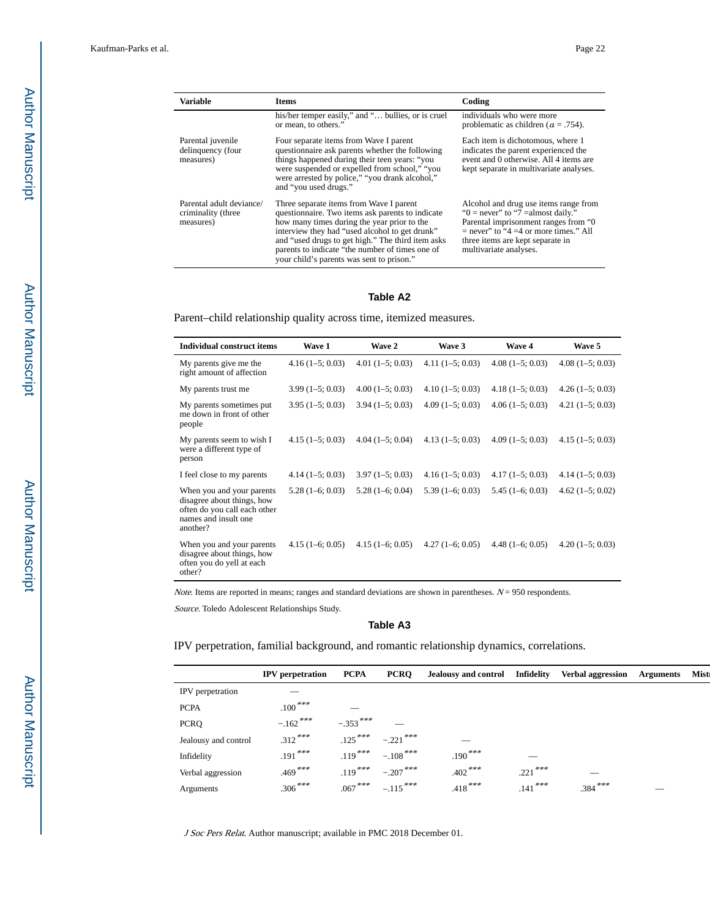| <b>Variable</b>                                             | <b>Items</b>                                                                                                                                                                                                                                                                                                                                      | Coding                                                                                                                                                                                                                           |
|-------------------------------------------------------------|---------------------------------------------------------------------------------------------------------------------------------------------------------------------------------------------------------------------------------------------------------------------------------------------------------------------------------------------------|----------------------------------------------------------------------------------------------------------------------------------------------------------------------------------------------------------------------------------|
|                                                             | his/her temper easily," and " bullies, or is cruel<br>or mean, to others."                                                                                                                                                                                                                                                                        | individuals who were more<br>problematic as children ( $\alpha$ = .754).                                                                                                                                                         |
| Parental juvenile<br>delinquency (four<br>measures)         | Four separate items from Wave I parent<br>questionnaire ask parents whether the following<br>things happened during their teen years: "you<br>were suspended or expelled from school," "you<br>were arrested by police," "you drank alcohol,"<br>and "you used drugs."                                                                            | Each item is dichotomous, where 1<br>indicates the parent experienced the<br>event and 0 otherwise. All 4 items are<br>kept separate in multivariate analyses.                                                                   |
| Parental adult deviance/<br>criminality (three<br>measures) | Three separate items from Wave I parent<br>questionnaire. Two items ask parents to indicate<br>how many times during the year prior to the<br>interview they had "used alcohol to get drunk"<br>and "used drugs to get high." The third item asks<br>parents to indicate "the number of times one of<br>your child's parents was sent to prison." | Alcohol and drug use items range from<br>" $0 =$ never" to "7 = almost daily."<br>Parental imprisonment ranges from "0"<br>$=$ never" to "4 =4 or more times." All<br>three items are kept separate in<br>multivariate analyses. |

#### **Table A2**

Parent–child relationship quality across time, itemized measures.

| <b>Individual construct items</b>                                                                                           | Wave 1            | Wave 2            | Wave 3            | <b>Wave 4</b>     | Wave 5            |
|-----------------------------------------------------------------------------------------------------------------------------|-------------------|-------------------|-------------------|-------------------|-------------------|
| My parents give me the<br>right amount of affection                                                                         | $4.16(1-5; 0.03)$ | $4.01(1-5; 0.03)$ | $4.11(1-5; 0.03)$ | $4.08(1-5; 0.03)$ | $4.08(1-5; 0.03)$ |
| My parents trust me                                                                                                         | $3.99(1-5; 0.03)$ | $4.00(1-5; 0.03)$ | $4.10(1-5; 0.03)$ | $4.18(1-5; 0.03)$ | $4.26(1-5;0.03)$  |
| My parents sometimes put<br>me down in front of other<br>people                                                             | $3.95(1-5; 0.03)$ | $3.94(1-5; 0.03)$ | $4.09(1-5; 0.03)$ | $4.06(1-5; 0.03)$ | $4.21(1-5; 0.03)$ |
| My parents seem to wish I<br>were a different type of<br>person                                                             | $4.15(1-5; 0.03)$ | $4.04(1-5; 0.04)$ | $4.13(1-5;0.03)$  | $4.09(1-5; 0.03)$ | $4.15(1-5; 0.03)$ |
| I feel close to my parents                                                                                                  | $4.14(1-5; 0.03)$ | $3.97(1-5; 0.03)$ | $4.16(1-5; 0.03)$ | $4.17(1-5; 0.03)$ | $4.14(1-5; 0.03)$ |
| When you and your parents<br>disagree about things, how<br>often do you call each other<br>names and insult one<br>another? | $5.28(1-6; 0.03)$ | $5.28(1-6; 0.04)$ | $5.39(1-6; 0.03)$ | $5.45(1-6; 0.03)$ | $4.62(1-5; 0.02)$ |
| When you and your parents<br>disagree about things, how<br>often you do yell at each<br>other?                              | $4.15(1-6; 0.05)$ | $4.15(1-6; 0.05)$ | $4.27(1-6;0.05)$  | $4.48(1-6; 0.05)$ | $4.20(1-5; 0.03)$ |

Note. Items are reported in means; ranges and standard deviations are shown in parentheses.  $N = 950$  respondents.

Source. Toledo Adolescent Relationships Study.

#### **Table A3**

IPV perpetration, familial background, and romantic relationship dynamics, correlations.

|                      | <b>IPV</b> perpetration | <b>PCPA</b> | <b>PCRQ</b> | <b>Jealousy and control</b> | Infidelity | <b>Verbal aggression</b> | <b>Arguments</b> | <b>Mist</b> |
|----------------------|-------------------------|-------------|-------------|-----------------------------|------------|--------------------------|------------------|-------------|
| IPV perpetration     |                         |             |             |                             |            |                          |                  |             |
| <b>PCPA</b>          | $.100***$               |             |             |                             |            |                          |                  |             |
| <b>PCRQ</b>          | $-.162$ ***             | $-.353$ *** |             |                             |            |                          |                  |             |
| Jealousy and control | $.312***$               | $.125***$   | $-.221$ *** |                             |            |                          |                  |             |
| Infidelity           | .191***                 | .119***     | $-.108$ *** | $.190***$                   |            |                          |                  |             |
| Verbal aggression    | $.469***$               | $.119***$   | $-.207$ *** | $.402***$                   | $.221$ *** |                          |                  |             |
| Arguments            | $.306***$               | $.067***$   | $-.115***$  | $.418***$                   | $.141***$  | $.384***$                |                  |             |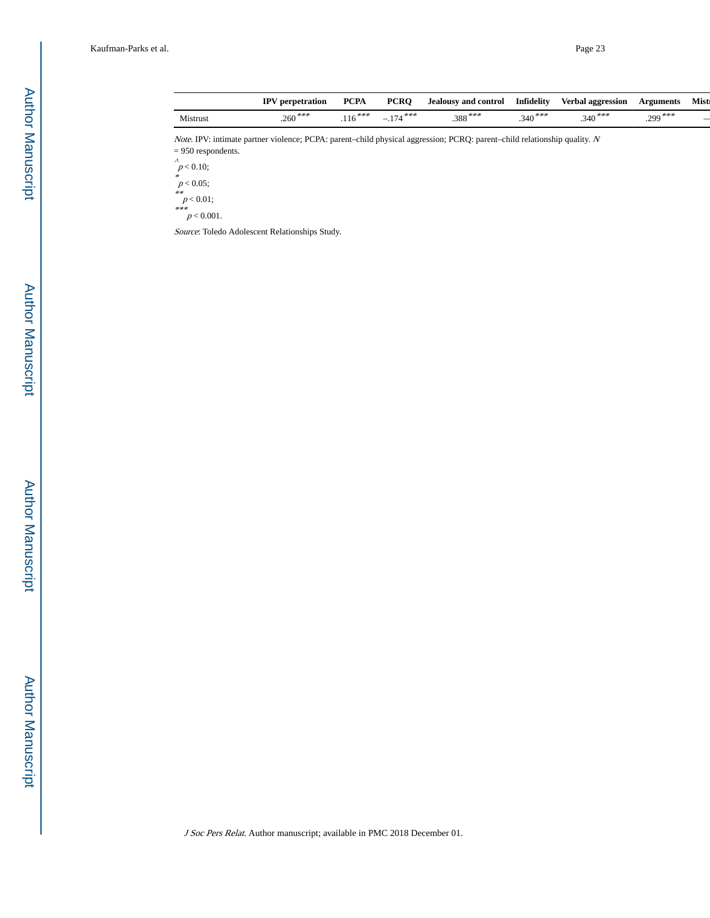|          | <b>IPV</b> perpetration | <b>PCPA</b> | <b>PCRO</b>           | <b>Jealousy and control</b> | Infidelity | <b>Verbal aggression</b> | Arguments    | <b>Mist</b> |
|----------|-------------------------|-------------|-----------------------|-----------------------------|------------|--------------------------|--------------|-------------|
| Mistrust | $.260***$               | ***         | ***<br>$\overline{a}$ | $.388***$                   | $.340***$  | ***<br>.340              | .***<br>.299 |             |
|          |                         |             |                       |                             |            |                          |              |             |

Note. IPV: intimate partner violence; PCPA: parent–child physical aggression; PCRQ: parent–child relationship quality. <sup>N</sup> = 950 respondents.

 $\int_{0}^{\lambda} p < 0.10;$ 

 $p < 0.05$ ;<br>\*\*<br> $p < 0.01$ ;<br>\*\*\*<br> $p < 0.001$ .

Source: Toledo Adolescent Relationships Study.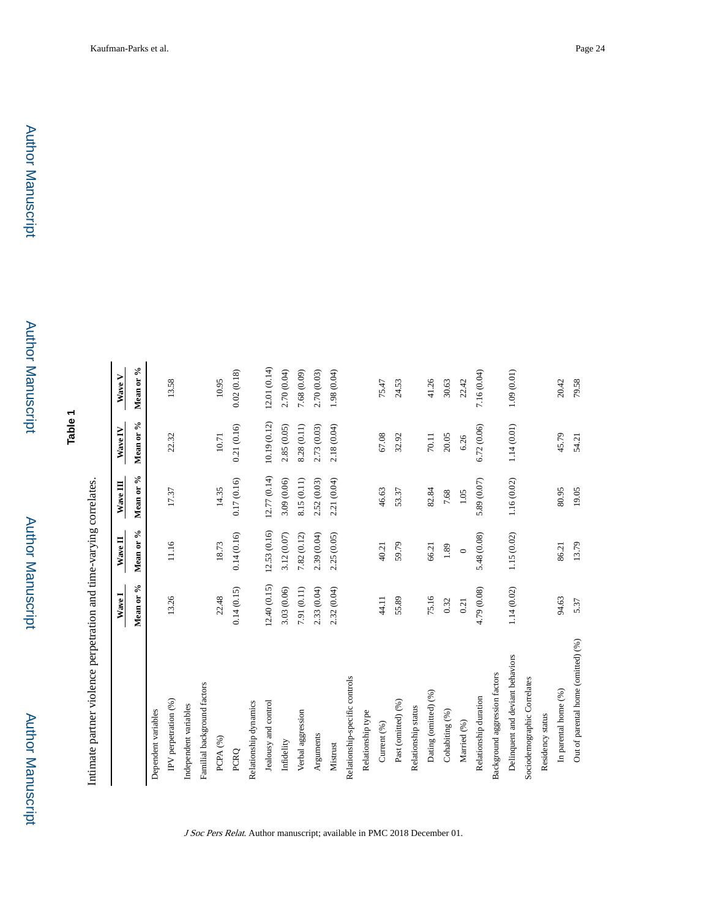**Table 1**

Intimate partner violence perpetration and time-varying correlates. Intimate partner violence perpetration and time-varying correlates.

|                                    | Wave I      | Wave II      | Wave III     | Wave IV      | Wave V       |
|------------------------------------|-------------|--------------|--------------|--------------|--------------|
|                                    | Mean or %   | Mean or %    | Mean or %    | Mean or %    | Mean or %    |
| Dependent variables                |             |              |              |              |              |
| IPV perpetration (%)               | 13.26       | 11.16        | 17.37        | 22.32        | 13.58        |
| Independent variables              |             |              |              |              |              |
| Familial background factors        |             |              |              |              |              |
| PCPA <sub>(%)</sub>                | 22.48       | 18.73        | 14.35        | 10.71        | 10.95        |
| PCRQ                               | 0.14(0.15)  | 0.14(0.16)   | 0.17(0.16)   | 0.21(0.16)   | 0.02(0.18)   |
| Relationship dynamics              |             |              |              |              |              |
| Jealousy and control               | 12.40(0.15) | 12.53 (0.16) | 12.77 (0.14) | 10.19 (0.12) | 12.01 (0.14) |
| Infidelity                         | 3.03 (0.06) | 3.12 (0.07)  | 3.09 (0.06)  | 2.85 (0.05)  | 2.70 (0.04)  |
| Verbal aggression                  | 7.91 (0.11) | 7.82 (0.12)  | 8.15 (0.11)  | 8.28 (0.11)  | 7.68 (0.09)  |
| Arguments                          | 2.33 (0.04) | 2.39 (0.04)  | 2.52 (0.03)  | 2.73 (0.03)  | 2.70 (0.03)  |
| Mistrust                           | 2.32 (0.04) | 2.25 (0.05)  | 2.21 (0.04)  | 2.18 (0.04)  | 1.98 (0.04)  |
| Relationship-specific controls     |             |              |              |              |              |
| Relationship type                  |             |              |              |              |              |
| Current (%)                        | 44.11       | 40.21        | 46.63        | 67.08        | 75.47        |
| Past (omitted) (%)                 | 55.89       | 59.79        | 53.37        | 32.92        | 24.53        |
| Relationship status                |             |              |              |              |              |
| Dating (omitted) (%)               | 75.16       | 66.21        | 82.84        | 70.11        | 41.26        |
| Cohabiting (%)                     | 0.32        | 1.89         | 7.68         | 20.05        | 30.63        |
| Married (%)                        | 0.21        | $\circ$      | $1.05$       | 6.26         | 22.42        |
| Relationship duration              | 4.79 (0.08) | 5.48 (0.08)  | 5.89 (0.07)  | 6.72 (0.06)  | 7.16 (0.04)  |
| Background aggression factors      |             |              |              |              |              |
| Delinquent and deviant behaviors   | 1.14 (0.02) | 1.15 (0.02)  | 1.16 (0.02)  | 1.14(0.01)   | 1.09(0.01)   |
| Sociodemographic Correlates        |             |              |              |              |              |
| Residency status                   |             |              |              |              |              |
| In parental home (%)               | 94.63       | 86.21        | 80.95        | 45.79        | 20.42        |
| Out of parental home (omitted) (%) | 5.37        | 13.79        | 19.05        | 54.21        | 79.58        |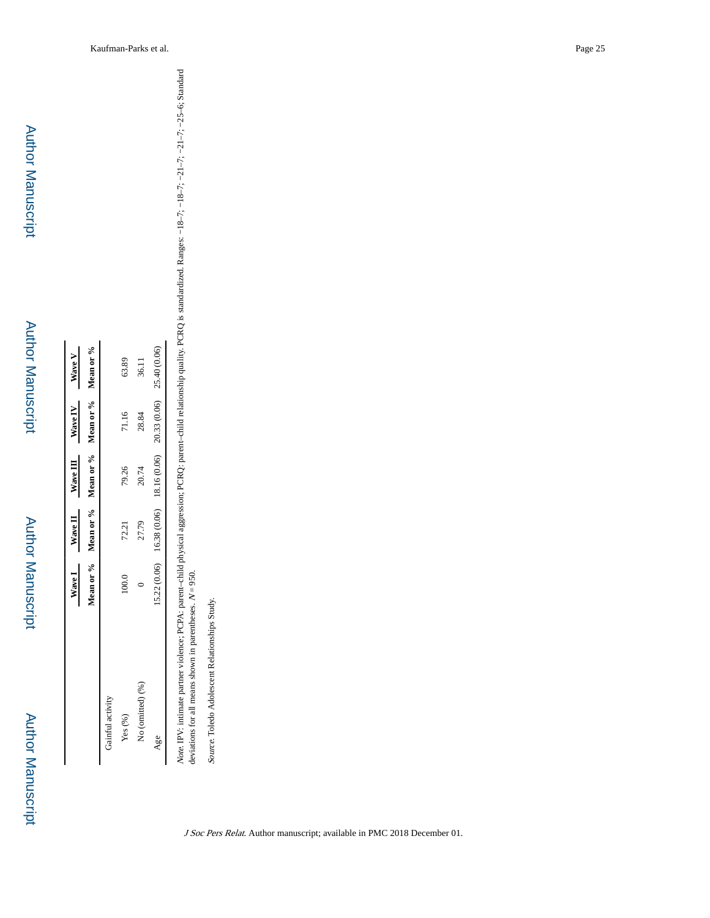Author Manuscript

**Author Manuscript** 

|                  |             |              |              | Wave I Wave II Wave III Wave IV Wave V            |              |
|------------------|-------------|--------------|--------------|---------------------------------------------------|--------------|
|                  |             |              |              | Mean or % Mean or % Mean or % Mean or % Mean or % |              |
| Gainful activity |             |              |              |                                                   |              |
| Yes(%)           | 100.0       | 72.21        | 79.26        | 71.16                                             | 63.89        |
| No (omitted) (%) |             | 27.79        | 20.74        | 28.84                                             | 36.11        |
| Age              | .5.22(0.06) | 16.38 (0.06) | 18.16 (0.06) | 20.33 (0.06)                                      | 25.40 (0.06) |

Note. IPV: intimate partner violence; PCPA: parent–child physical aggression; PCRQ: parent–child relationship quality. PCRQ is standardized. Ranges: −18–7; −18–7; −21–7; −25–6; Standard deviations for all means shown in parentheses. Note. IPV: intimate partner violence; PCPA: parent-child physical aggression; PCRQ: parent-child relationship quality. PCRQ is standardized. Ranges: -18-7; -18-7; -21-7; -21-7; -25-6; Standard deviations for all means show

Source. Toledo Adolescent Relationships Study. Source. Toledo Adolescent Relationships Study.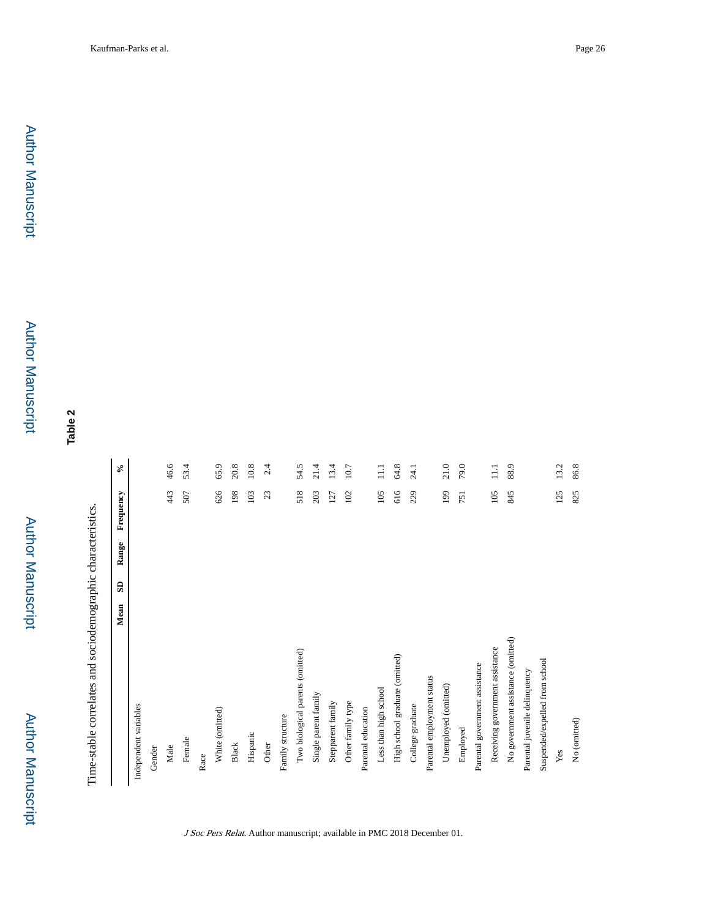**Table 2**

Time-stable correlates and sociodemographic characteristics. Time-stable correlates and sociodemographic characteristics.

| Independent variables<br>Gender    | Mean | G | Range | Frequency | $\sim$ |
|------------------------------------|------|---|-------|-----------|--------|
|                                    |      |   |       |           |        |
|                                    |      |   |       |           |        |
|                                    |      |   |       |           |        |
| Male                               |      |   |       | 443       | 46.6   |
| Female                             |      |   |       | 507       | 53.4   |
| Race                               |      |   |       |           |        |
| White (omitted)                    |      |   |       | 626       | 65.9   |
| <b>Black</b>                       |      |   |       | 198       | 20.8   |
| Hispanic                           |      |   |       | 103       | 10.8   |
| Other                              |      |   |       | 23        | 2.4    |
| Family structure                   |      |   |       |           |        |
| Two biological parents (omitted)   |      |   |       | 518       | 54.5   |
| Single parent family               |      |   |       | 203       | 21.4   |
| Stepparent family                  |      |   |       | 127       | 13.4   |
| Other family type                  |      |   |       | 102       | 10.7   |
| Parental education                 |      |   |       |           |        |
| Less than high school              |      |   |       | 105       | $\Xi$  |
| High school graduate (omitted)     |      |   |       | 616       | 64.8   |
| College graduate                   |      |   |       | 229       | 24.1   |
| Parental employment status         |      |   |       |           |        |
| Unemployed (omitted)               |      |   |       | 199       | 21.0   |
| Employed                           |      |   |       | 751       | 79.0   |
| Parental government assistance     |      |   |       |           |        |
| Receiving government assistance    |      |   |       | 105       | $\Xi$  |
| No government assistance (omitted) |      |   |       | 845       | 88.9   |
| Parental juvenile delinquency      |      |   |       |           |        |
| Suspended/expelled from school     |      |   |       |           |        |
| Yes                                |      |   |       | 125       | 13.2   |
| No (omitted)                       |      |   |       | 825       | 86.8   |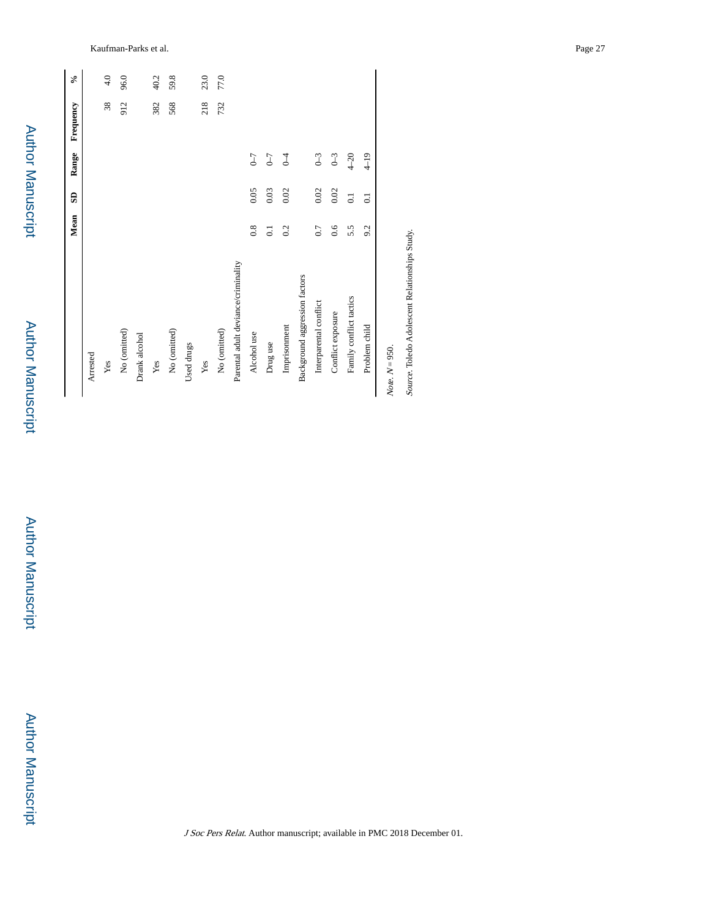| ĺ             |
|---------------|
| I             |
| C             |
| O             |
| $\frac{1}{2}$ |
|               |

Author Manuscript

Author Manuscript

| Kaufman-Parks et al. | $a$ ge $\angle$ |  | $\sim$ |
|----------------------|-----------------|--|--------|
|----------------------|-----------------|--|--------|

|                                     | Mean           | e                | Range              | Frequency | ⊱°   |
|-------------------------------------|----------------|------------------|--------------------|-----------|------|
| Arrested                            |                |                  |                    |           |      |
| Yes                                 |                |                  |                    | 38        | 4.0  |
| No (omitted)                        |                |                  |                    | 912       | 96.0 |
| Drank alcohol                       |                |                  |                    |           |      |
| $\mathbf{Yes}$                      |                |                  |                    | 382       | 40.2 |
| No (omitted)                        |                |                  |                    | 568       | 59.8 |
| Used drugs                          |                |                  |                    |           |      |
| $\mathbf{Yes}$                      |                |                  |                    | 218       | 23.0 |
| No (omitted)                        |                |                  |                    | 732       | 77.0 |
| Parental adult deviance/criminality |                |                  |                    |           |      |
| Alcohol use                         | $_{0.8}$       | 0.05             | $\mathcal{L}$      |           |      |
| Drug use                            | $\overline{c}$ | 0.03             | $\mathcal{L}^{-1}$ |           |      |
| Imprisonment                        | 0.2            | 0.02             | $\sqrt{ }$         |           |      |
| Background aggression factors       |                |                  |                    |           |      |
| Interparental conflict              | 0.7            | 0.02             | $0 - 3$            |           |      |
| Conflict exposure                   | 0.6            | 0.02             | $0 - 3$            |           |      |
| Family conflict tactics             | 5.5            | $\overline{0}$ . | $4-20$             |           |      |
| Problem child                       | 9.2            | $\overline{c}$   | $4 - 19$           |           |      |
| $ote. N = 950.$                     |                |                  |                    |           |      |

 $Note. N = 950.$ Note,  $\cal N$  Source. Toledo Adolescent Relationships Study. Source. Toledo Adolescent Relationships Study.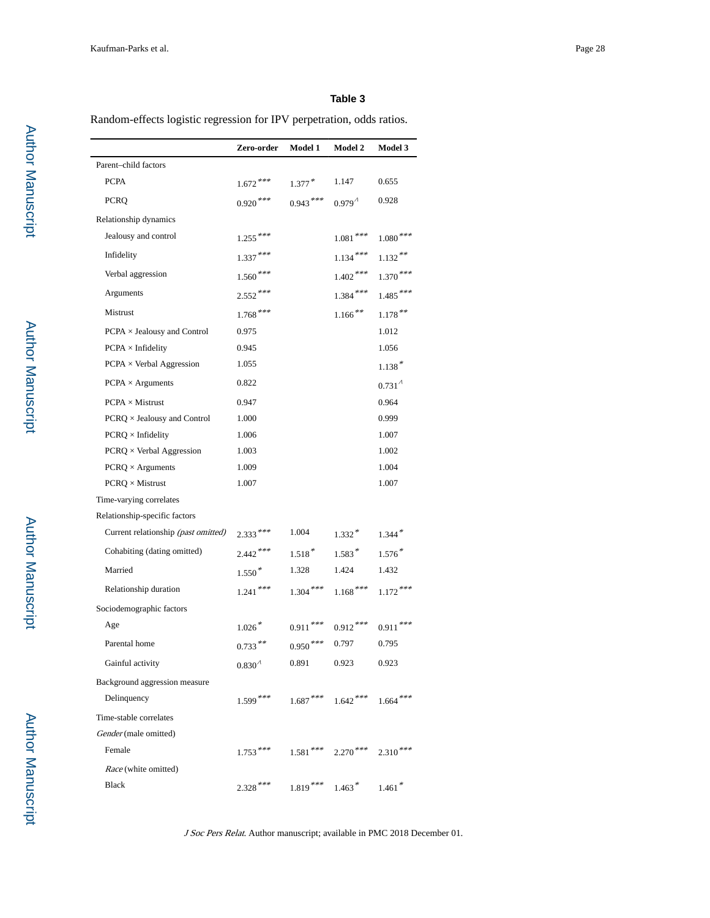### **Table 3**

Random-effects logistic regression for IPV perpetration, odds ratios.

|                                     | Zero-order          | Model 1     | Model 2                          | Model 3           |
|-------------------------------------|---------------------|-------------|----------------------------------|-------------------|
| Parent-child factors                |                     |             |                                  |                   |
| <b>PCPA</b>                         | $1.672***$          | $1.377*$    | 1.147                            | 0.655             |
| <b>PCRQ</b>                         | $0.920$ ***         | $0.943***$  | 0.979 <sup>4</sup>               | 0.928             |
| Relationship dynamics               |                     |             |                                  |                   |
| Jealousy and control                | $1.255***$          |             | $1.081$ $\!**\!*$                | $1.080***$        |
| Infidelity                          | $1.337***$          |             | $1.134***$                       | $1.132***$        |
| Verbal aggression                   | $1.560$ ***         |             | $1.402$ ***                      | $1.370***$        |
| Arguments                           | $2.552***$          |             | $1.384$ ***                      | $1.485***$        |
| Mistrust                            | $1.768$ ***         |             | $1.166$ <sup>**</sup>            | $1.178$ **        |
| $PCPA \times Jealousy$ and Control  | 0.975               |             |                                  | 1.012             |
| $PCPA \times$ Infidelity            | 0.945               |             |                                  | 1.056             |
| $PCPA \times$ Verbal Aggression     | 1.055               |             |                                  | $1.138*$          |
| $PCPA \times$ Arguments             | 0.822               |             |                                  | $0.731^{\lambda}$ |
| $PCPA \times Mistrust$              | 0.947               |             |                                  | 0.964             |
| PCRQ × Jealousy and Control         | 1.000               |             |                                  | 0.999             |
| $PCRQ \times$ Infidelity            | 1.006               |             |                                  | 1.007             |
| $PCRQ \times Verbal Aggression$     | 1.003               |             |                                  | 1.002             |
| $PCRQ \times Arguments$             | 1.009               |             |                                  | 1.004             |
| $PCRQ \times Mistrust$              | 1.007               |             |                                  | 1.007             |
| Time-varying correlates             |                     |             |                                  |                   |
| Relationship-specific factors       |                     |             |                                  |                   |
| Current relationship (past omitted) | $2.333***$          | 1.004       | $1.332*$                         | $1.344*$          |
| Cohabiting (dating omitted)         | $2.442***$          | $1.518*$    | $1.583*$                         | $1.576*$          |
| Married                             | $1.550*$            | 1.328       | 1.424                            | 1.432             |
| Relationship duration               | $1.241$ ***         | $1.304$ *** | $1.168***$                       | $1.172***$        |
| Sociodemographic factors            |                     |             |                                  |                   |
| Age                                 | $1.026$ *           | $0.911***$  | $0.912***$                       | $0.911$ ***       |
| Parental home                       | $0.733***$          | $0.950***$  | 0.797                            | 0.795             |
| Gainful activity                    | $0.830^{\,\Lambda}$ | 0.891       | 0.923                            | 0.923             |
| Background aggression measure       |                     |             |                                  |                   |
| Delinquency                         | $1.599***$          | $1.687***$  | $1.642***$                       | $1.664$ ***       |
| Time-stable correlates              |                     |             |                                  |                   |
| Gender (male omitted)               |                     |             |                                  |                   |
| Female                              | $1.753***$          |             | $1.581$ *** 2.270 <sup>***</sup> | $2.310***$        |
| Race (white omitted)                |                     |             |                                  |                   |
| <b>Black</b>                        | $2.328***$          | $1.819***$  | $1.463*$ $1.461*$                |                   |